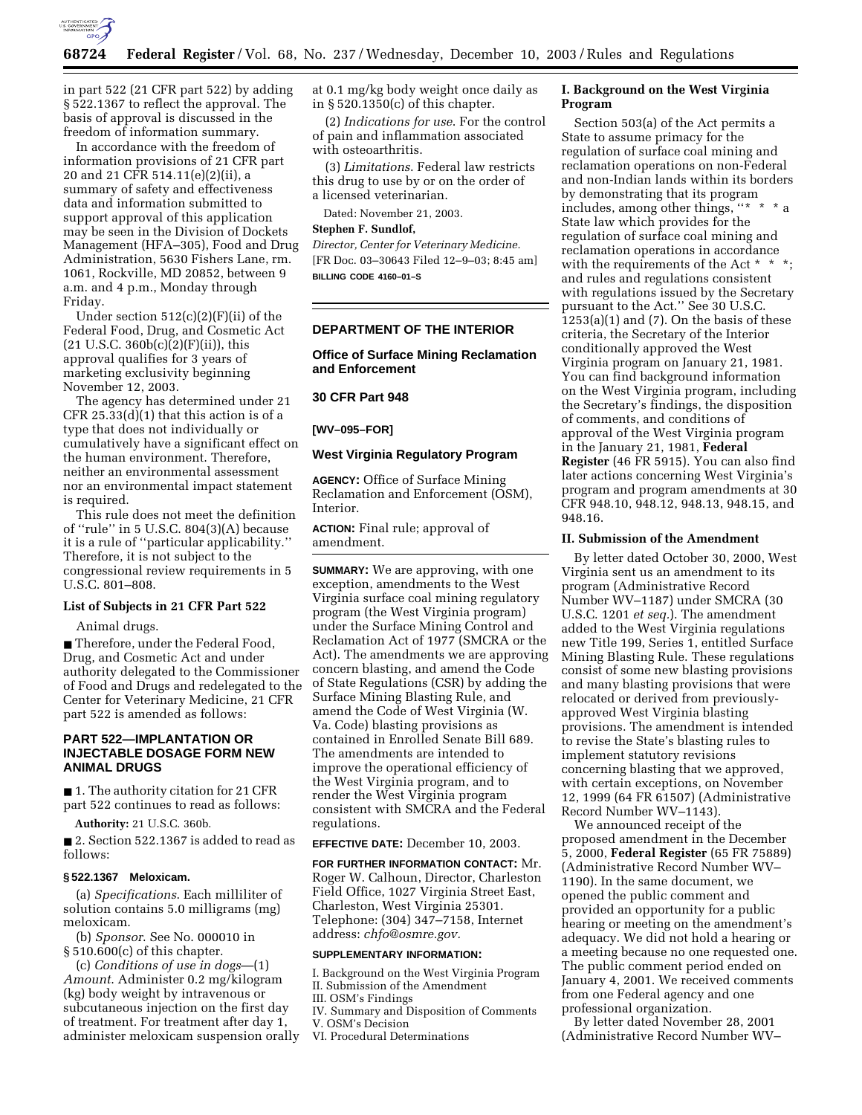

in part 522 (21 CFR part 522) by adding § 522.1367 to reflect the approval. The basis of approval is discussed in the freedom of information summary.

In accordance with the freedom of information provisions of 21 CFR part 20 and 21 CFR 514.11(e)(2)(ii), a summary of safety and effectiveness data and information submitted to support approval of this application may be seen in the Division of Dockets Management (HFA–305), Food and Drug Administration, 5630 Fishers Lane, rm. 1061, Rockville, MD 20852, between 9 a.m. and 4 p.m., Monday through Friday.

Under section 512(c)(2)(F)(ii) of the Federal Food, Drug, and Cosmetic Act  $(21 \text{ U.S.C. } 360b(c)(2)(F)(ii))$ , this approval qualifies for 3 years of marketing exclusivity beginning November 12, 2003.

The agency has determined under 21 CFR  $25.33(d)(1)$  that this action is of a type that does not individually or cumulatively have a significant effect on the human environment. Therefore, neither an environmental assessment nor an environmental impact statement is required.

This rule does not meet the definition of ''rule'' in 5 U.S.C. 804(3)(A) because it is a rule of ''particular applicability.'' Therefore, it is not subject to the congressional review requirements in 5 U.S.C. 801–808.

### **List of Subjects in 21 CFR Part 522**

Animal drugs.

■ Therefore, under the Federal Food, Drug, and Cosmetic Act and under authority delegated to the Commissioner of Food and Drugs and redelegated to the Center for Veterinary Medicine, 21 CFR part 522 is amended as follows:

# **PART 522—IMPLANTATION OR INJECTABLE DOSAGE FORM NEW ANIMAL DRUGS**

■ 1. The authority citation for 21 CFR part 522 continues to read as follows:

**Authority:** 21 U.S.C. 360b.

■ 2. Section 522.1367 is added to read as follows:

#### **§ 522.1367 Meloxicam.**

(a) *Specifications*. Each milliliter of solution contains 5.0 milligrams (mg) meloxicam.

(b) *Sponsor*. See No. 000010 in § 510.600(c) of this chapter.

(c) *Conditions of use in dogs*—(1) *Amount*. Administer 0.2 mg/kilogram (kg) body weight by intravenous or subcutaneous injection on the first day of treatment. For treatment after day 1, administer meloxicam suspension orally at 0.1 mg/kg body weight once daily as in § 520.1350(c) of this chapter.

(2) *Indications for use*. For the control of pain and inflammation associated with osteoarthritis.

(3) *Limitations*. Federal law restricts this drug to use by or on the order of a licensed veterinarian.

Dated: November 21, 2003.

### **Stephen F. Sundlof,**

*Director, Center for Veterinary Medicine.* [FR Doc. 03–30643 Filed 12–9–03; 8:45 am] **BILLING CODE 4160–01–S**

#### **DEPARTMENT OF THE INTERIOR**

**Office of Surface Mining Reclamation and Enforcement** 

### **30 CFR Part 948**

**[WV–095–FOR]** 

### **West Virginia Regulatory Program**

**AGENCY:** Office of Surface Mining Reclamation and Enforcement (OSM), Interior.

**ACTION:** Final rule; approval of amendment.

**SUMMARY:** We are approving, with one exception, amendments to the West Virginia surface coal mining regulatory program (the West Virginia program) under the Surface Mining Control and Reclamation Act of 1977 (SMCRA or the Act). The amendments we are approving concern blasting, and amend the Code of State Regulations (CSR) by adding the Surface Mining Blasting Rule, and amend the Code of West Virginia (W. Va. Code) blasting provisions as contained in Enrolled Senate Bill 689. The amendments are intended to improve the operational efficiency of the West Virginia program, and to render the West Virginia program consistent with SMCRA and the Federal regulations.

**EFFECTIVE DATE:** December 10, 2003.

**FOR FURTHER INFORMATION CONTACT:** Mr. Roger W. Calhoun, Director, Charleston Field Office, 1027 Virginia Street East, Charleston, West Virginia 25301. Telephone: (304) 347–7158, Internet address: *chfo@osmre.gov.*

### **SUPPLEMENTARY INFORMATION:**

I. Background on the West Virginia Program II. Submission of the Amendment

III. OSM's Findings

IV. Summary and Disposition of Comments

V. OSM's Decision

VI. Procedural Determinations

# **I. Background on the West Virginia Program**

Section 503(a) of the Act permits a State to assume primacy for the regulation of surface coal mining and reclamation operations on non-Federal and non-Indian lands within its borders by demonstrating that its program includes, among other things, "\* \* State law which provides for the regulation of surface coal mining and reclamation operations in accordance with the requirements of the Act \* \* \*; and rules and regulations consistent with regulations issued by the Secretary pursuant to the Act.'' See 30 U.S.C.  $1253(a)(1)$  and  $(7)$ . On the basis of these criteria, the Secretary of the Interior conditionally approved the West Virginia program on January 21, 1981. You can find background information on the West Virginia program, including the Secretary's findings, the disposition of comments, and conditions of approval of the West Virginia program in the January 21, 1981, **Federal Register** (46 FR 5915). You can also find later actions concerning West Virginia's program and program amendments at 30 CFR 948.10, 948.12, 948.13, 948.15, and 948.16.

#### **II. Submission of the Amendment**

By letter dated October 30, 2000, West Virginia sent us an amendment to its program (Administrative Record Number WV–1187) under SMCRA (30 U.S.C. 1201 *et seq.*). The amendment added to the West Virginia regulations new Title 199, Series 1, entitled Surface Mining Blasting Rule. These regulations consist of some new blasting provisions and many blasting provisions that were relocated or derived from previouslyapproved West Virginia blasting provisions. The amendment is intended to revise the State's blasting rules to implement statutory revisions concerning blasting that we approved, with certain exceptions, on November 12, 1999 (64 FR 61507) (Administrative Record Number WV–1143).

We announced receipt of the proposed amendment in the December 5, 2000, **Federal Register** (65 FR 75889) (Administrative Record Number WV– 1190). In the same document, we opened the public comment and provided an opportunity for a public hearing or meeting on the amendment's adequacy. We did not hold a hearing or a meeting because no one requested one. The public comment period ended on January 4, 2001. We received comments from one Federal agency and one professional organization.

By letter dated November 28, 2001 (Administrative Record Number WV–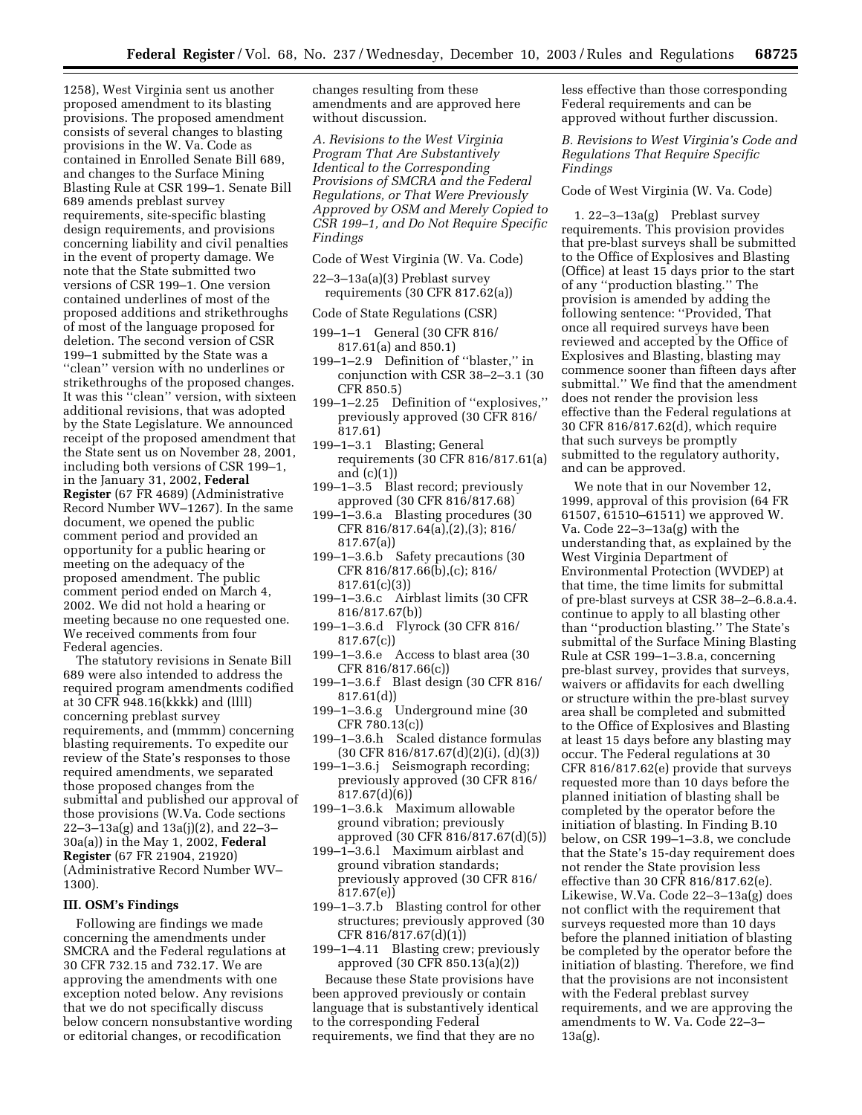1258), West Virginia sent us another proposed amendment to its blasting provisions. The proposed amendment consists of several changes to blasting provisions in the W. Va. Code as contained in Enrolled Senate Bill 689, and changes to the Surface Mining Blasting Rule at CSR 199–1. Senate Bill 689 amends preblast survey requirements, site-specific blasting design requirements, and provisions concerning liability and civil penalties in the event of property damage. We note that the State submitted two versions of CSR 199–1. One version contained underlines of most of the proposed additions and strikethroughs of most of the language proposed for deletion. The second version of CSR 199–1 submitted by the State was a ''clean'' version with no underlines or strikethroughs of the proposed changes. It was this ''clean'' version, with sixteen additional revisions, that was adopted by the State Legislature. We announced receipt of the proposed amendment that the State sent us on November 28, 2001, including both versions of CSR 199–1, in the January 31, 2002, **Federal Register** (67 FR 4689) (Administrative Record Number WV–1267). In the same document, we opened the public comment period and provided an opportunity for a public hearing or meeting on the adequacy of the proposed amendment. The public comment period ended on March 4, 2002. We did not hold a hearing or meeting because no one requested one. We received comments from four Federal agencies.

The statutory revisions in Senate Bill 689 were also intended to address the required program amendments codified at 30 CFR 948.16(kkkk) and (llll) concerning preblast survey requirements, and (mmmm) concerning blasting requirements. To expedite our review of the State's responses to those required amendments, we separated those proposed changes from the submittal and published our approval of those provisions (W.Va. Code sections 22–3–13a(g) and 13a(j)(2), and 22–3– 30a(a)) in the May 1, 2002, **Federal Register** (67 FR 21904, 21920) (Administrative Record Number WV– 1300).

### **III. OSM's Findings**

Following are findings we made concerning the amendments under SMCRA and the Federal regulations at 30 CFR 732.15 and 732.17. We are approving the amendments with one exception noted below. Any revisions that we do not specifically discuss below concern nonsubstantive wording or editorial changes, or recodification

changes resulting from these amendments and are approved here without discussion.

*A. Revisions to the West Virginia Program That Are Substantively Identical to the Corresponding Provisions of SMCRA and the Federal Regulations, or That Were Previously Approved by OSM and Merely Copied to CSR 199–1, and Do Not Require Specific Findings* 

Code of West Virginia (W. Va. Code)

- 22–3–13a(a)(3) Preblast survey requirements (30 CFR 817.62(a))
- Code of State Regulations (CSR)
- 199–1–1 General (30 CFR 816/ 817.61(a) and 850.1)
- 199–1–2.9 Definition of ''blaster,'' in conjunction with CSR 38–2–3.1 (30 CFR 850.5)
- 199–1–2.25 Definition of ''explosives,'' previously approved (30 CFR 816/ 817.61)
- 199–1–3.1 Blasting; General requirements (30 CFR 816/817.61(a) and (c)(1))
- 199–1–3.5 Blast record; previously approved (30 CFR 816/817.68)
- 199–1–3.6.a Blasting procedures (30 CFR 816/817.64(a),(2),(3); 816/ 817.67(a))
- 199–1–3.6.b Safety precautions (30 CFR 816/817.66(b),(c); 816/ 817.61(c)(3))
- 199–1–3.6.c Airblast limits (30 CFR 816/817.67(b))
- 199–1–3.6.d Flyrock (30 CFR 816/ 817.67(c))
- 199–1–3.6.e Access to blast area (30 CFR 816/817.66(c))
- 199–1–3.6.f Blast design (30 CFR 816/ 817.61(d))
- 199–1–3.6.g Underground mine (30 CFR 780.13(c))
- 199–1–3.6.h Scaled distance formulas (30 CFR 816/817.67(d)(2)(i), (d)(3))
- 199–1–3.6.j Seismograph recording; previously approved (30 CFR 816/ 817.67(d)(6))
- 199–1–3.6.k Maximum allowable ground vibration; previously approved (30 CFR 816/817.67(d)(5))
- 199–1–3.6.l Maximum airblast and ground vibration standards; previously approved (30 CFR 816/ 817.67(e))
- 199–1–3.7.b Blasting control for other structures; previously approved (30 CFR 816/817.67(d)(1))
- 199–1–4.11 Blasting crew; previously approved (30 CFR 850.13(a)(2))

Because these State provisions have been approved previously or contain language that is substantively identical to the corresponding Federal requirements, we find that they are no

less effective than those corresponding Federal requirements and can be approved without further discussion.

*B. Revisions to West Virginia's Code and Regulations That Require Specific Findings* 

### Code of West Virginia (W. Va. Code)

1. 22–3–13a(g) Preblast survey requirements. This provision provides that pre-blast surveys shall be submitted to the Office of Explosives and Blasting (Office) at least 15 days prior to the start of any ''production blasting.'' The provision is amended by adding the following sentence: ''Provided, That once all required surveys have been reviewed and accepted by the Office of Explosives and Blasting, blasting may commence sooner than fifteen days after submittal.'' We find that the amendment does not render the provision less effective than the Federal regulations at 30 CFR 816/817.62(d), which require that such surveys be promptly submitted to the regulatory authority, and can be approved.

We note that in our November 12, 1999, approval of this provision (64 FR 61507, 61510–61511) we approved W. Va. Code 22–3–13a(g) with the understanding that, as explained by the West Virginia Department of Environmental Protection (WVDEP) at that time, the time limits for submittal of pre-blast surveys at CSR 38–2–6.8.a.4. continue to apply to all blasting other than ''production blasting.'' The State's submittal of the Surface Mining Blasting Rule at CSR 199–1–3.8.a, concerning pre-blast survey, provides that surveys, waivers or affidavits for each dwelling or structure within the pre-blast survey area shall be completed and submitted to the Office of Explosives and Blasting at least 15 days before any blasting may occur. The Federal regulations at 30 CFR 816/817.62(e) provide that surveys requested more than 10 days before the planned initiation of blasting shall be completed by the operator before the initiation of blasting. In Finding B.10 below, on CSR 199–1–3.8, we conclude that the State's 15-day requirement does not render the State provision less effective than 30 CFR 816/817.62(e). Likewise, W.Va. Code 22–3–13a(g) does not conflict with the requirement that surveys requested more than 10 days before the planned initiation of blasting be completed by the operator before the initiation of blasting. Therefore, we find that the provisions are not inconsistent with the Federal preblast survey requirements, and we are approving the amendments to W. Va. Code 22–3– 13a(g).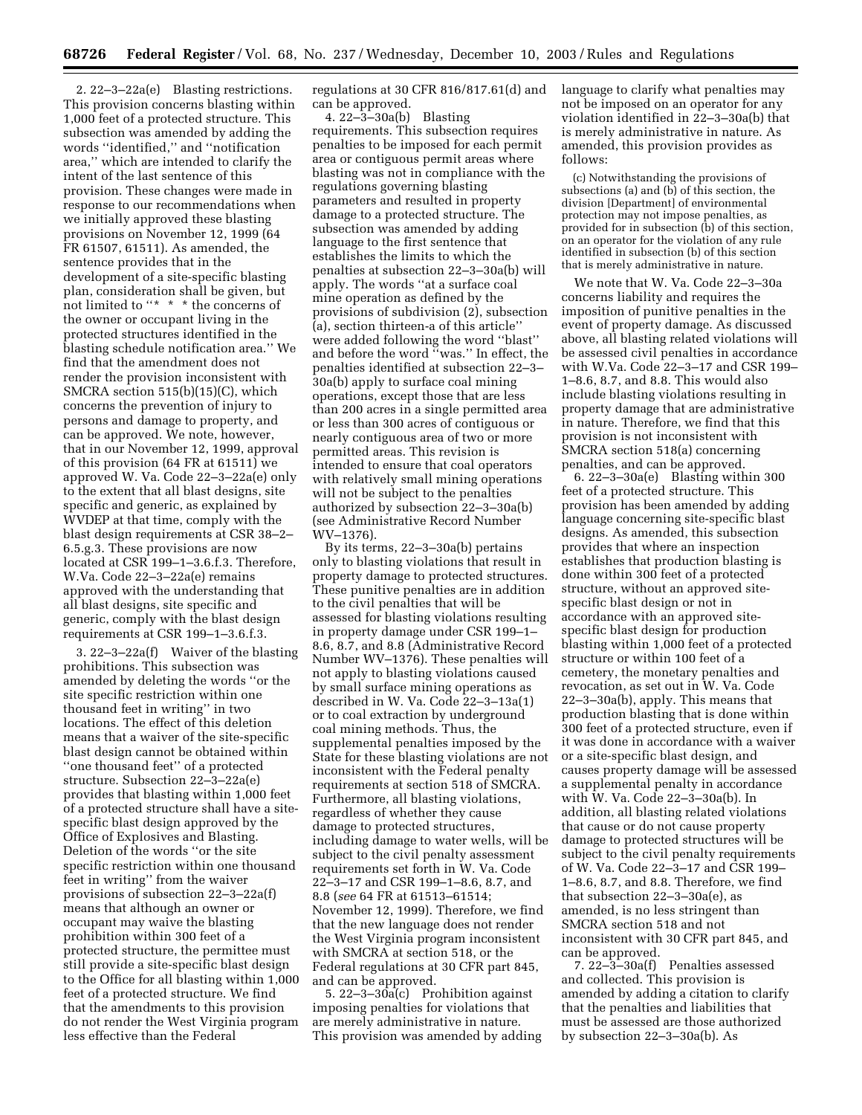2. 22–3–22a(e) Blasting restrictions. This provision concerns blasting within 1,000 feet of a protected structure. This subsection was amended by adding the words ''identified,'' and ''notification area,'' which are intended to clarify the intent of the last sentence of this provision. These changes were made in response to our recommendations when we initially approved these blasting provisions on November 12, 1999 (64 FR 61507, 61511). As amended, the sentence provides that in the development of a site-specific blasting plan, consideration shall be given, but not limited to ''\* \* \* the concerns of the owner or occupant living in the protected structures identified in the blasting schedule notification area.'' We find that the amendment does not render the provision inconsistent with SMCRA section 515(b)(15)(C), which concerns the prevention of injury to persons and damage to property, and can be approved. We note, however, that in our November 12, 1999, approval of this provision (64 FR at 61511) we approved W. Va. Code 22–3–22a(e) only to the extent that all blast designs, site specific and generic, as explained by WVDEP at that time, comply with the blast design requirements at CSR 38–2– 6.5.g.3. These provisions are now located at CSR 199–1–3.6.f.3. Therefore, W.Va. Code 22–3–22a(e) remains approved with the understanding that all blast designs, site specific and generic, comply with the blast design requirements at CSR 199–1–3.6.f.3.

3. 22–3–22a(f) Waiver of the blasting prohibitions. This subsection was amended by deleting the words ''or the site specific restriction within one thousand feet in writing'' in two locations. The effect of this deletion means that a waiver of the site-specific blast design cannot be obtained within ''one thousand feet'' of a protected structure. Subsection 22–3–22a(e) provides that blasting within 1,000 feet of a protected structure shall have a sitespecific blast design approved by the Office of Explosives and Blasting. Deletion of the words ''or the site specific restriction within one thousand feet in writing'' from the waiver provisions of subsection 22–3–22a(f) means that although an owner or occupant may waive the blasting prohibition within 300 feet of a protected structure, the permittee must still provide a site-specific blast design to the Office for all blasting within 1,000 feet of a protected structure. We find that the amendments to this provision do not render the West Virginia program less effective than the Federal

regulations at 30 CFR 816/817.61(d) and can be approved.

4. 22–3–30a(b) Blasting requirements. This subsection requires penalties to be imposed for each permit area or contiguous permit areas where blasting was not in compliance with the regulations governing blasting parameters and resulted in property damage to a protected structure. The subsection was amended by adding language to the first sentence that establishes the limits to which the penalties at subsection 22–3–30a(b) will apply. The words ''at a surface coal mine operation as defined by the provisions of subdivision (2), subsection (a), section thirteen-a of this article'' were added following the word ''blast'' and before the word ''was.'' In effect, the penalties identified at subsection 22–3– 30a(b) apply to surface coal mining operations, except those that are less than 200 acres in a single permitted area or less than 300 acres of contiguous or nearly contiguous area of two or more permitted areas. This revision is intended to ensure that coal operators with relatively small mining operations will not be subject to the penalties authorized by subsection 22–3–30a(b) (see Administrative Record Number WV–1376).

By its terms, 22–3–30a(b) pertains only to blasting violations that result in property damage to protected structures. These punitive penalties are in addition to the civil penalties that will be assessed for blasting violations resulting in property damage under CSR 199–1– 8.6, 8.7, and 8.8 (Administrative Record Number WV–1376). These penalties will not apply to blasting violations caused by small surface mining operations as described in W. Va. Code 22–3–13a(1) or to coal extraction by underground coal mining methods. Thus, the supplemental penalties imposed by the State for these blasting violations are not inconsistent with the Federal penalty requirements at section 518 of SMCRA. Furthermore, all blasting violations, regardless of whether they cause damage to protected structures, including damage to water wells, will be subject to the civil penalty assessment requirements set forth in W. Va. Code 22–3–17 and CSR 199–1–8.6, 8.7, and 8.8 (*see* 64 FR at 61513–61514; November 12, 1999). Therefore, we find that the new language does not render the West Virginia program inconsistent with SMCRA at section 518, or the Federal regulations at 30 CFR part 845, and can be approved.

5. 22–3–30 $a(c)$  Prohibition against imposing penalties for violations that are merely administrative in nature. This provision was amended by adding language to clarify what penalties may not be imposed on an operator for any violation identified in 22–3–30a(b) that is merely administrative in nature. As amended, this provision provides as follows:

(c) Notwithstanding the provisions of subsections (a) and (b) of this section, the division [Department] of environmental protection may not impose penalties, as provided for in subsection (b) of this section, on an operator for the violation of any rule identified in subsection (b) of this section that is merely administrative in nature.

We note that W. Va. Code 22–3–30a concerns liability and requires the imposition of punitive penalties in the event of property damage. As discussed above, all blasting related violations will be assessed civil penalties in accordance with W.Va. Code 22–3–17 and CSR 199– 1–8.6, 8.7, and 8.8. This would also include blasting violations resulting in property damage that are administrative in nature. Therefore, we find that this provision is not inconsistent with SMCRA section 518(a) concerning penalties, and can be approved.

6. 22–3–30a(e) Blasting within 300 feet of a protected structure. This provision has been amended by adding language concerning site-specific blast designs. As amended, this subsection provides that where an inspection establishes that production blasting is done within 300 feet of a protected structure, without an approved sitespecific blast design or not in accordance with an approved sitespecific blast design for production blasting within 1,000 feet of a protected structure or within 100 feet of a cemetery, the monetary penalties and revocation, as set out in W. Va. Code 22–3–30a(b), apply. This means that production blasting that is done within 300 feet of a protected structure, even if it was done in accordance with a waiver or a site-specific blast design, and causes property damage will be assessed a supplemental penalty in accordance with W. Va. Code 22–3–30a(b). In addition, all blasting related violations that cause or do not cause property damage to protected structures will be subject to the civil penalty requirements of W. Va. Code 22–3–17 and CSR 199– 1–8.6, 8.7, and 8.8. Therefore, we find that subsection 22–3–30a(e), as amended, is no less stringent than SMCRA section 518 and not inconsistent with 30 CFR part 845, and can be approved.

7. 22–3–30a(f) Penalties assessed and collected. This provision is amended by adding a citation to clarify that the penalties and liabilities that must be assessed are those authorized by subsection 22–3–30a(b). As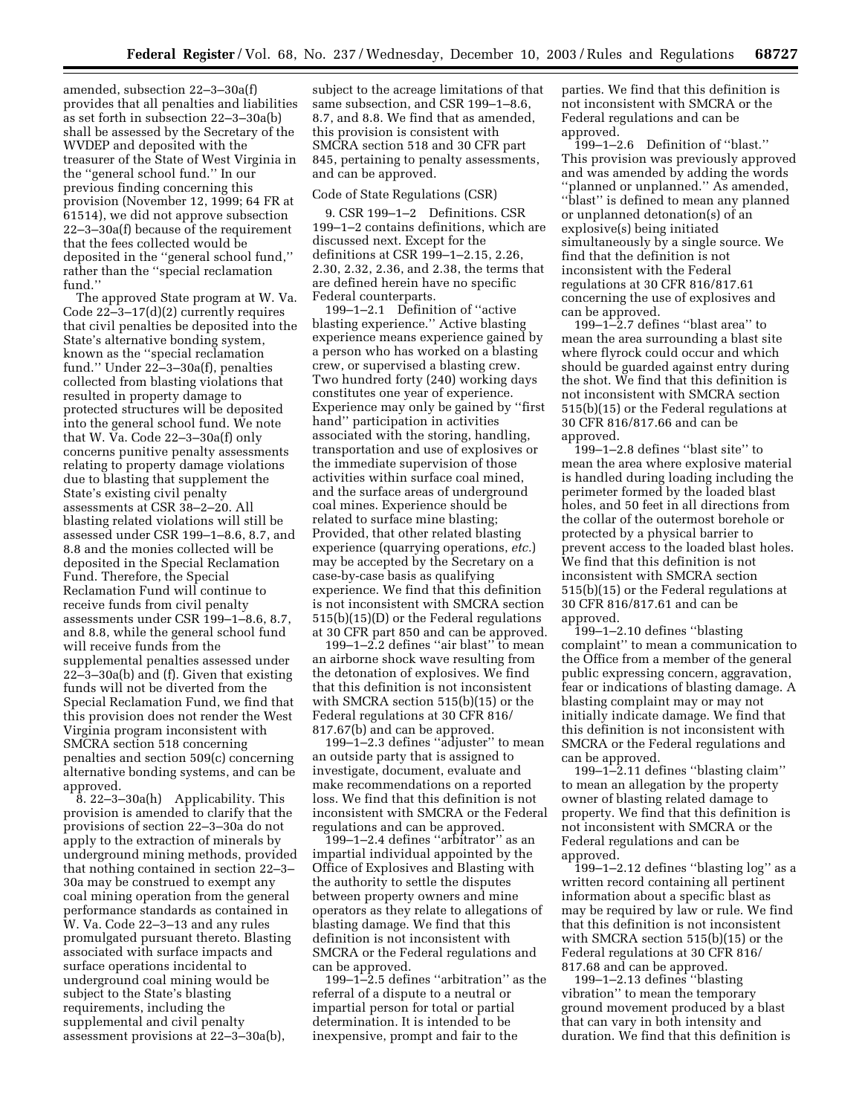amended, subsection 22–3–30a(f) provides that all penalties and liabilities as set forth in subsection 22–3–30a(b) shall be assessed by the Secretary of the WVDEP and deposited with the treasurer of the State of West Virginia in the ''general school fund.'' In our previous finding concerning this provision (November 12, 1999; 64 FR at 61514), we did not approve subsection 22–3–30a(f) because of the requirement that the fees collected would be deposited in the ''general school fund,'' rather than the ''special reclamation fund.''

The approved State program at W. Va. Code 22–3–17(d)(2) currently requires that civil penalties be deposited into the State's alternative bonding system, known as the ''special reclamation fund.'' Under 22–3–30a(f), penalties collected from blasting violations that resulted in property damage to protected structures will be deposited into the general school fund. We note that W. Va. Code 22–3–30a(f) only concerns punitive penalty assessments relating to property damage violations due to blasting that supplement the State's existing civil penalty assessments at CSR 38–2–20. All blasting related violations will still be assessed under CSR 199–1–8.6, 8.7, and 8.8 and the monies collected will be deposited in the Special Reclamation Fund. Therefore, the Special Reclamation Fund will continue to receive funds from civil penalty assessments under CSR 199–1–8.6, 8.7, and 8.8, while the general school fund will receive funds from the supplemental penalties assessed under 22–3–30a(b) and (f). Given that existing funds will not be diverted from the Special Reclamation Fund, we find that this provision does not render the West Virginia program inconsistent with SMCRA section 518 concerning penalties and section 509(c) concerning alternative bonding systems, and can be approved.

8. 22–3–30a(h) Applicability. This provision is amended to clarify that the provisions of section 22–3–30a do not apply to the extraction of minerals by underground mining methods, provided that nothing contained in section 22–3– 30a may be construed to exempt any coal mining operation from the general performance standards as contained in W. Va. Code 22–3–13 and any rules promulgated pursuant thereto. Blasting associated with surface impacts and surface operations incidental to underground coal mining would be subject to the State's blasting requirements, including the supplemental and civil penalty assessment provisions at 22–3–30a(b),

subject to the acreage limitations of that same subsection, and CSR 199–1–8.6, 8.7, and 8.8. We find that as amended, this provision is consistent with SMCRA section 518 and 30 CFR part 845, pertaining to penalty assessments, and can be approved.

### Code of State Regulations (CSR)

9. CSR 199–1–2 Definitions. CSR 199–1–2 contains definitions, which are discussed next. Except for the definitions at CSR 199–1–2.15, 2.26, 2.30, 2.32, 2.36, and 2.38, the terms that are defined herein have no specific Federal counterparts.

199–1–2.1 Definition of ''active blasting experience.'' Active blasting experience means experience gained by a person who has worked on a blasting crew, or supervised a blasting crew. Two hundred forty (240) working days constitutes one year of experience. Experience may only be gained by ''first hand'' participation in activities associated with the storing, handling, transportation and use of explosives or the immediate supervision of those activities within surface coal mined, and the surface areas of underground coal mines. Experience should be related to surface mine blasting; Provided, that other related blasting experience (quarrying operations, *etc.*) may be accepted by the Secretary on a case-by-case basis as qualifying experience. We find that this definition is not inconsistent with SMCRA section 515(b)(15)(D) or the Federal regulations at 30 CFR part 850 and can be approved.

199–1–2.2 defines ''air blast'' to mean an airborne shock wave resulting from the detonation of explosives. We find that this definition is not inconsistent with SMCRA section 515(b)(15) or the Federal regulations at 30 CFR 816/ 817.67(b) and can be approved.

199–1–2.3 defines ''adjuster'' to mean an outside party that is assigned to investigate, document, evaluate and make recommendations on a reported loss. We find that this definition is not inconsistent with SMCRA or the Federal regulations and can be approved.

199–1–2.4 defines ''arbitrator'' as an impartial individual appointed by the Office of Explosives and Blasting with the authority to settle the disputes between property owners and mine operators as they relate to allegations of blasting damage. We find that this definition is not inconsistent with SMCRA or the Federal regulations and can be approved.

199–1–2.5 defines ''arbitration'' as the referral of a dispute to a neutral or impartial person for total or partial determination. It is intended to be inexpensive, prompt and fair to the

parties. We find that this definition is not inconsistent with SMCRA or the Federal regulations and can be approved.

199–1–2.6 Definition of ''blast.'' This provision was previously approved and was amended by adding the words "planned or unplanned." As amended, "blast" is defined to mean any planned or unplanned detonation(s) of an explosive(s) being initiated simultaneously by a single source. We find that the definition is not inconsistent with the Federal regulations at 30 CFR 816/817.61 concerning the use of explosives and can be approved.

199–1–2.7 defines ''blast area'' to mean the area surrounding a blast site where flyrock could occur and which should be guarded against entry during the shot. We find that this definition is not inconsistent with SMCRA section 515(b)(15) or the Federal regulations at 30 CFR 816/817.66 and can be approved.

199–1–2.8 defines ''blast site'' to mean the area where explosive material is handled during loading including the perimeter formed by the loaded blast holes, and 50 feet in all directions from the collar of the outermost borehole or protected by a physical barrier to prevent access to the loaded blast holes. We find that this definition is not inconsistent with SMCRA section 515(b)(15) or the Federal regulations at 30 CFR 816/817.61 and can be approved.

199–1–2.10 defines ''blasting complaint'' to mean a communication to the Office from a member of the general public expressing concern, aggravation, fear or indications of blasting damage. A blasting complaint may or may not initially indicate damage. We find that this definition is not inconsistent with SMCRA or the Federal regulations and can be approved.

199–1–2.11 defines ''blasting claim'' to mean an allegation by the property owner of blasting related damage to property. We find that this definition is not inconsistent with SMCRA or the Federal regulations and can be approved.

199–1–2.12 defines ''blasting log'' as a written record containing all pertinent information about a specific blast as may be required by law or rule. We find that this definition is not inconsistent with SMCRA section 515(b)(15) or the Federal regulations at 30 CFR 816/ 817.68 and can be approved.

199–1–2.13 defines ''blasting vibration'' to mean the temporary ground movement produced by a blast that can vary in both intensity and duration. We find that this definition is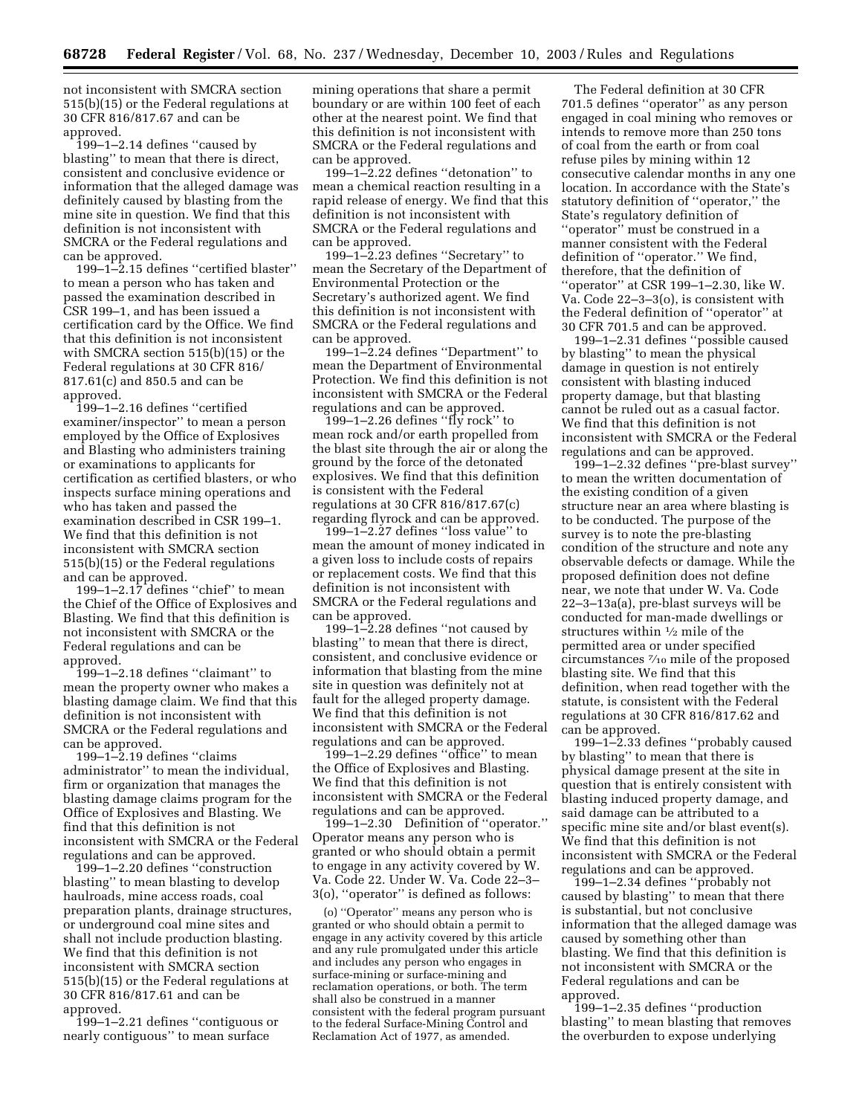not inconsistent with SMCRA section 515(b)(15) or the Federal regulations at 30 CFR 816/817.67 and can be approved.

199–1–2.14 defines ''caused by blasting'' to mean that there is direct, consistent and conclusive evidence or information that the alleged damage was definitely caused by blasting from the mine site in question. We find that this definition is not inconsistent with SMCRA or the Federal regulations and can be approved.

199–1–2.15 defines ''certified blaster'' to mean a person who has taken and passed the examination described in CSR 199–1, and has been issued a certification card by the Office. We find that this definition is not inconsistent with SMCRA section 515(b)(15) or the Federal regulations at 30 CFR 816/ 817.61(c) and 850.5 and can be approved.

199–1–2.16 defines ''certified examiner/inspector'' to mean a person employed by the Office of Explosives and Blasting who administers training or examinations to applicants for certification as certified blasters, or who inspects surface mining operations and who has taken and passed the examination described in CSR 199–1. We find that this definition is not inconsistent with SMCRA section 515(b)(15) or the Federal regulations and can be approved.

199–1–2.17 defines ''chief'' to mean the Chief of the Office of Explosives and Blasting. We find that this definition is not inconsistent with SMCRA or the Federal regulations and can be approved.

199–1–2.18 defines ''claimant'' to mean the property owner who makes a blasting damage claim. We find that this definition is not inconsistent with SMCRA or the Federal regulations and can be approved.

199–1–2.19 defines ''claims administrator'' to mean the individual, firm or organization that manages the blasting damage claims program for the Office of Explosives and Blasting. We find that this definition is not inconsistent with SMCRA or the Federal regulations and can be approved.

199–1–2.20 defines ''construction blasting'' to mean blasting to develop haulroads, mine access roads, coal preparation plants, drainage structures, or underground coal mine sites and shall not include production blasting. We find that this definition is not inconsistent with SMCRA section 515(b)(15) or the Federal regulations at 30 CFR 816/817.61 and can be approved.

199–1–2.21 defines ''contiguous or nearly contiguous'' to mean surface

mining operations that share a permit boundary or are within 100 feet of each other at the nearest point. We find that this definition is not inconsistent with SMCRA or the Federal regulations and can be approved.

199–1–2.22 defines ''detonation'' to mean a chemical reaction resulting in a rapid release of energy. We find that this definition is not inconsistent with SMCRA or the Federal regulations and can be approved.

199–1–2.23 defines ''Secretary'' to mean the Secretary of the Department of Environmental Protection or the Secretary's authorized agent. We find this definition is not inconsistent with SMCRA or the Federal regulations and can be approved.

199–1–2.24 defines ''Department'' to mean the Department of Environmental Protection. We find this definition is not inconsistent with SMCRA or the Federal regulations and can be approved.

199–1–2.26 defines ''fly rock'' to mean rock and/or earth propelled from the blast site through the air or along the ground by the force of the detonated explosives. We find that this definition is consistent with the Federal regulations at 30 CFR 816/817.67(c) regarding flyrock and can be approved.

199–1–2.27 defines ''loss value'' to mean the amount of money indicated in a given loss to include costs of repairs or replacement costs. We find that this definition is not inconsistent with SMCRA or the Federal regulations and can be approved.

199–1–2.28 defines ''not caused by blasting'' to mean that there is direct, consistent, and conclusive evidence or information that blasting from the mine site in question was definitely not at fault for the alleged property damage. We find that this definition is not inconsistent with SMCRA or the Federal regulations and can be approved.

199–1–2.29 defines ''office'' to mean the Office of Explosives and Blasting. We find that this definition is not inconsistent with SMCRA or the Federal regulations and can be approved.

199–1–2.30 Definition of ''operator.'' Operator means any person who is granted or who should obtain a permit to engage in any activity covered by W. Va. Code 22. Under W. Va. Code 22–3– 3(o), ''operator'' is defined as follows:

(o) ''Operator'' means any person who is granted or who should obtain a permit to engage in any activity covered by this article and any rule promulgated under this article and includes any person who engages in surface-mining or surface-mining and reclamation operations, or both. The term shall also be construed in a manner consistent with the federal program pursuant to the federal Surface-Mining Control and Reclamation Act of 1977, as amended.

The Federal definition at 30 CFR 701.5 defines ''operator'' as any person engaged in coal mining who removes or intends to remove more than 250 tons of coal from the earth or from coal refuse piles by mining within 12 consecutive calendar months in any one location. In accordance with the State's statutory definition of ''operator,'' the State's regulatory definition of "operator" must be construed in a manner consistent with the Federal definition of ''operator.'' We find, therefore, that the definition of ''operator'' at CSR 199–1–2.30, like W. Va. Code 22–3–3(o), is consistent with the Federal definition of ''operator'' at 30 CFR 701.5 and can be approved.

199–1–2.31 defines ''possible caused by blasting'' to mean the physical damage in question is not entirely consistent with blasting induced property damage, but that blasting cannot be ruled out as a casual factor. We find that this definition is not inconsistent with SMCRA or the Federal regulations and can be approved.

199–1–2.32 defines ''pre-blast survey'' to mean the written documentation of the existing condition of a given structure near an area where blasting is to be conducted. The purpose of the survey is to note the pre-blasting condition of the structure and note any observable defects or damage. While the proposed definition does not define near, we note that under W. Va. Code 22–3–13a(a), pre-blast surveys will be conducted for man-made dwellings or structures within 1⁄2 mile of the permitted area or under specified circumstances 7⁄10 mile of the proposed blasting site. We find that this definition, when read together with the statute, is consistent with the Federal regulations at 30 CFR 816/817.62 and can be approved.

199–1–2.33 defines ''probably caused by blasting'' to mean that there is physical damage present at the site in question that is entirely consistent with blasting induced property damage, and said damage can be attributed to a specific mine site and/or blast event(s). We find that this definition is not inconsistent with SMCRA or the Federal regulations and can be approved.

199–1–2.34 defines ''probably not caused by blasting'' to mean that there is substantial, but not conclusive information that the alleged damage was caused by something other than blasting. We find that this definition is not inconsistent with SMCRA or the Federal regulations and can be approved.

199–1–2.35 defines ''production blasting'' to mean blasting that removes the overburden to expose underlying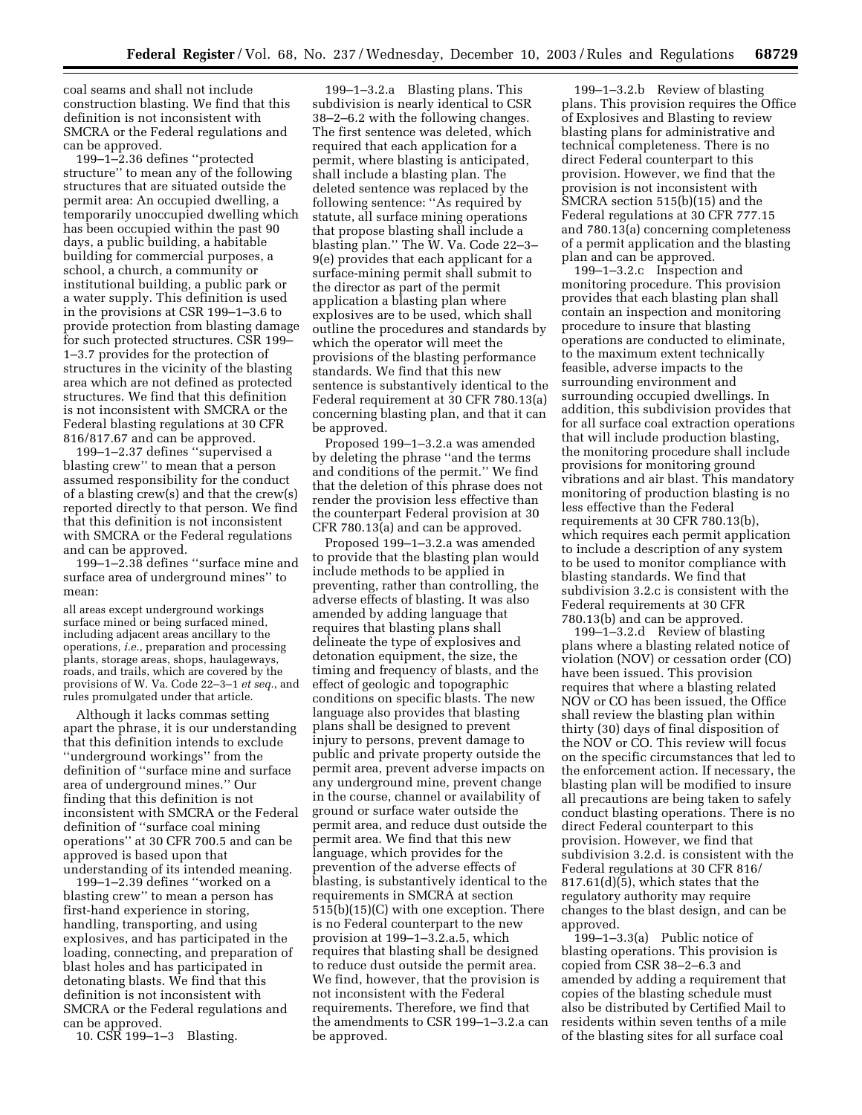coal seams and shall not include construction blasting. We find that this definition is not inconsistent with SMCRA or the Federal regulations and can be approved.

199–1–2.36 defines ''protected structure'' to mean any of the following structures that are situated outside the permit area: An occupied dwelling, a temporarily unoccupied dwelling which has been occupied within the past 90 days, a public building, a habitable building for commercial purposes, a school, a church, a community or institutional building, a public park or a water supply. This definition is used in the provisions at CSR 199–1–3.6 to provide protection from blasting damage for such protected structures. CSR 199– 1–3.7 provides for the protection of structures in the vicinity of the blasting area which are not defined as protected structures. We find that this definition is not inconsistent with SMCRA or the Federal blasting regulations at 30 CFR 816/817.67 and can be approved.

199–1–2.37 defines ''supervised a blasting crew'' to mean that a person assumed responsibility for the conduct of a blasting crew(s) and that the crew(s) reported directly to that person. We find that this definition is not inconsistent with SMCRA or the Federal regulations and can be approved.

199–1–2.38 defines ''surface mine and surface area of underground mines'' to mean:

all areas except underground workings surface mined or being surfaced mined, including adjacent areas ancillary to the operations, *i.e.*, preparation and processing plants, storage areas, shops, haulageways, roads, and trails, which are covered by the provisions of W. Va. Code 22–3–1 *et seq.*, and rules promulgated under that article.

Although it lacks commas setting apart the phrase, it is our understanding that this definition intends to exclude ''underground workings'' from the definition of ''surface mine and surface area of underground mines.'' Our finding that this definition is not inconsistent with SMCRA or the Federal definition of ''surface coal mining operations'' at 30 CFR 700.5 and can be approved is based upon that understanding of its intended meaning.

199–1–2.39 defines ''worked on a blasting crew'' to mean a person has first-hand experience in storing, handling, transporting, and using explosives, and has participated in the loading, connecting, and preparation of blast holes and has participated in detonating blasts. We find that this definition is not inconsistent with SMCRA or the Federal regulations and can be approved.

10. CSR 199–1–3 Blasting.

199–1–3.2.a Blasting plans. This subdivision is nearly identical to CSR 38–2–6.2 with the following changes. The first sentence was deleted, which required that each application for a permit, where blasting is anticipated, shall include a blasting plan. The deleted sentence was replaced by the following sentence: ''As required by statute, all surface mining operations that propose blasting shall include a blasting plan.'' The W. Va. Code 22–3– 9(e) provides that each applicant for a surface-mining permit shall submit to the director as part of the permit application a blasting plan where explosives are to be used, which shall outline the procedures and standards by which the operator will meet the provisions of the blasting performance standards. We find that this new sentence is substantively identical to the Federal requirement at 30 CFR 780.13(a) concerning blasting plan, and that it can be approved.

Proposed 199–1–3.2.a was amended by deleting the phrase ''and the terms and conditions of the permit.'' We find that the deletion of this phrase does not render the provision less effective than the counterpart Federal provision at 30 CFR 780.13(a) and can be approved.

Proposed 199–1–3.2.a was amended to provide that the blasting plan would include methods to be applied in preventing, rather than controlling, the adverse effects of blasting. It was also amended by adding language that requires that blasting plans shall delineate the type of explosives and detonation equipment, the size, the timing and frequency of blasts, and the effect of geologic and topographic conditions on specific blasts. The new language also provides that blasting plans shall be designed to prevent injury to persons, prevent damage to public and private property outside the permit area, prevent adverse impacts on any underground mine, prevent change in the course, channel or availability of ground or surface water outside the permit area, and reduce dust outside the permit area. We find that this new language, which provides for the prevention of the adverse effects of blasting, is substantively identical to the requirements in SMCRA at section 515(b)(15)(C) with one exception. There is no Federal counterpart to the new provision at 199–1–3.2.a.5, which requires that blasting shall be designed to reduce dust outside the permit area. We find, however, that the provision is not inconsistent with the Federal requirements. Therefore, we find that the amendments to CSR 199–1–3.2.a can be approved.

199–1–3.2.b Review of blasting plans. This provision requires the Office of Explosives and Blasting to review blasting plans for administrative and technical completeness. There is no direct Federal counterpart to this provision. However, we find that the provision is not inconsistent with SMCRA section 515(b)(15) and the Federal regulations at 30 CFR 777.15 and 780.13(a) concerning completeness of a permit application and the blasting plan and can be approved.

199–1–3.2.c Inspection and monitoring procedure. This provision provides that each blasting plan shall contain an inspection and monitoring procedure to insure that blasting operations are conducted to eliminate, to the maximum extent technically feasible, adverse impacts to the surrounding environment and surrounding occupied dwellings. In addition, this subdivision provides that for all surface coal extraction operations that will include production blasting, the monitoring procedure shall include provisions for monitoring ground vibrations and air blast. This mandatory monitoring of production blasting is no less effective than the Federal requirements at 30 CFR 780.13(b), which requires each permit application to include a description of any system to be used to monitor compliance with blasting standards. We find that subdivision 3.2.c is consistent with the Federal requirements at 30 CFR 780.13(b) and can be approved.

199–1–3.2.d Review of blasting plans where a blasting related notice of violation (NOV) or cessation order (CO) have been issued. This provision requires that where a blasting related NOV or CO has been issued, the Office shall review the blasting plan within thirty (30) days of final disposition of the NOV or CO. This review will focus on the specific circumstances that led to the enforcement action. If necessary, the blasting plan will be modified to insure all precautions are being taken to safely conduct blasting operations. There is no direct Federal counterpart to this provision. However, we find that subdivision 3.2.d. is consistent with the Federal regulations at 30 CFR 816/ 817.61(d)(5), which states that the regulatory authority may require changes to the blast design, and can be approved.

199–1–3.3(a) Public notice of blasting operations. This provision is copied from CSR 38–2–6.3 and amended by adding a requirement that copies of the blasting schedule must also be distributed by Certified Mail to residents within seven tenths of a mile of the blasting sites for all surface coal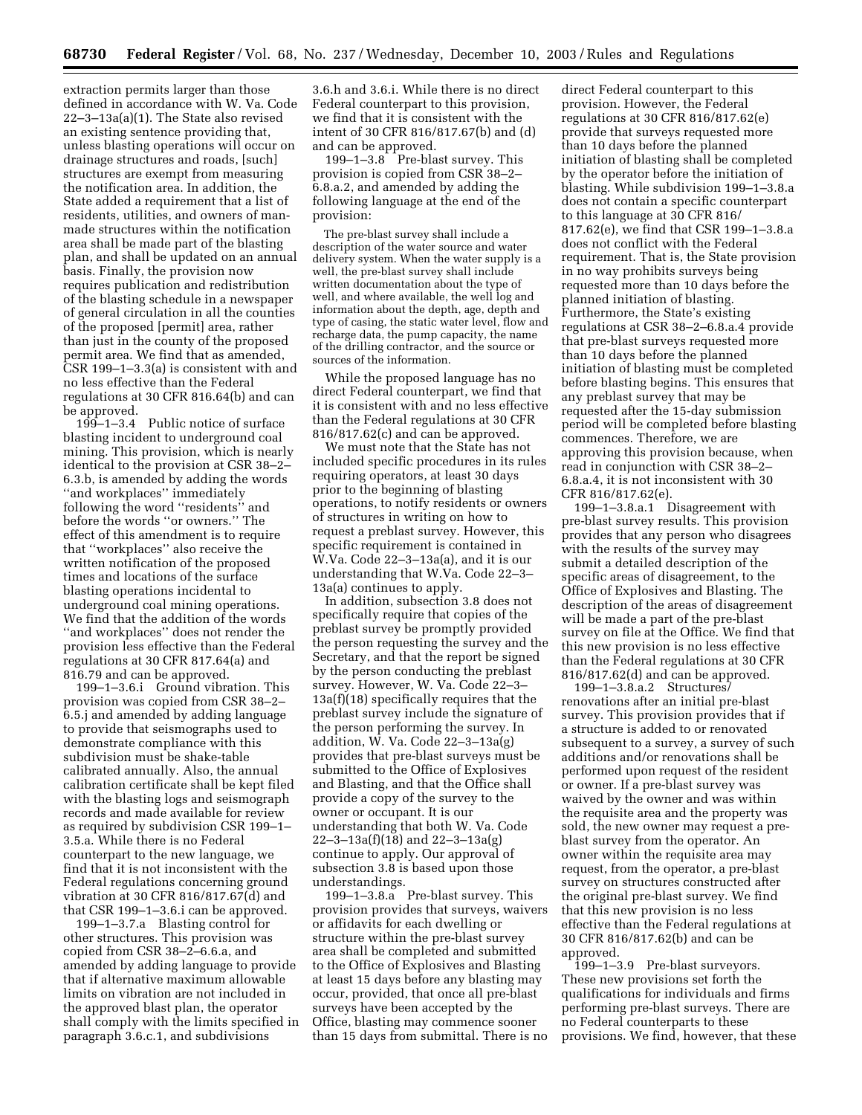extraction permits larger than those defined in accordance with W. Va. Code 22–3–13a(a)(1). The State also revised an existing sentence providing that, unless blasting operations will occur on drainage structures and roads, [such] structures are exempt from measuring the notification area. In addition, the State added a requirement that a list of residents, utilities, and owners of manmade structures within the notification area shall be made part of the blasting plan, and shall be updated on an annual basis. Finally, the provision now requires publication and redistribution of the blasting schedule in a newspaper of general circulation in all the counties of the proposed [permit] area, rather than just in the county of the proposed permit area. We find that as amended, CSR 199–1–3.3(a) is consistent with and no less effective than the Federal regulations at 30 CFR 816.64(b) and can be approved.

199–1–3.4 Public notice of surface blasting incident to underground coal mining. This provision, which is nearly identical to the provision at CSR 38–2– 6.3.b, is amended by adding the words ''and workplaces'' immediately following the word ''residents'' and before the words ''or owners.'' The effect of this amendment is to require that ''workplaces'' also receive the written notification of the proposed times and locations of the surface blasting operations incidental to underground coal mining operations. We find that the addition of the words ''and workplaces'' does not render the provision less effective than the Federal regulations at 30 CFR 817.64(a) and 816.79 and can be approved.

199–1–3.6.i Ground vibration. This provision was copied from CSR 38–2– 6.5.j and amended by adding language to provide that seismographs used to demonstrate compliance with this subdivision must be shake-table calibrated annually. Also, the annual calibration certificate shall be kept filed with the blasting logs and seismograph records and made available for review as required by subdivision CSR 199–1– 3.5.a. While there is no Federal counterpart to the new language, we find that it is not inconsistent with the Federal regulations concerning ground vibration at 30 CFR 816/817.67(d) and that CSR 199–1–3.6.i can be approved.

199–1–3.7.a Blasting control for other structures. This provision was copied from CSR 38–2–6.6.a, and amended by adding language to provide that if alternative maximum allowable limits on vibration are not included in the approved blast plan, the operator shall comply with the limits specified in paragraph 3.6.c.1, and subdivisions

3.6.h and 3.6.i. While there is no direct Federal counterpart to this provision, we find that it is consistent with the intent of 30 CFR 816/817.67(b) and (d) and can be approved.

199–1–3.8 Pre-blast survey. This provision is copied from CSR 38–2– 6.8.a.2, and amended by adding the following language at the end of the provision:

The pre-blast survey shall include a description of the water source and water delivery system. When the water supply is a well, the pre-blast survey shall include written documentation about the type of well, and where available, the well log and information about the depth, age, depth and type of casing, the static water level, flow and recharge data, the pump capacity, the name of the drilling contractor, and the source or sources of the information.

While the proposed language has no direct Federal counterpart, we find that it is consistent with and no less effective than the Federal regulations at 30 CFR 816/817.62(c) and can be approved.

We must note that the State has not included specific procedures in its rules requiring operators, at least 30 days prior to the beginning of blasting operations, to notify residents or owners of structures in writing on how to request a preblast survey. However, this specific requirement is contained in W.Va. Code 22–3–13a(a), and it is our understanding that W.Va. Code 22–3– 13a(a) continues to apply.

In addition, subsection 3.8 does not specifically require that copies of the preblast survey be promptly provided the person requesting the survey and the Secretary, and that the report be signed by the person conducting the preblast survey. However, W. Va. Code 22–3– 13a(f)(18) specifically requires that the preblast survey include the signature of the person performing the survey. In addition, W. Va. Code 22–3–13a(g) provides that pre-blast surveys must be submitted to the Office of Explosives and Blasting, and that the Office shall provide a copy of the survey to the owner or occupant. It is our understanding that both W. Va. Code 22–3–13a(f)(18) and 22–3–13a(g) continue to apply. Our approval of subsection 3.8 is based upon those understandings.

199–1–3.8.a Pre-blast survey. This provision provides that surveys, waivers or affidavits for each dwelling or structure within the pre-blast survey area shall be completed and submitted to the Office of Explosives and Blasting at least 15 days before any blasting may occur, provided, that once all pre-blast surveys have been accepted by the Office, blasting may commence sooner than 15 days from submittal. There is no

direct Federal counterpart to this provision. However, the Federal regulations at 30 CFR 816/817.62(e) provide that surveys requested more than 10 days before the planned initiation of blasting shall be completed by the operator before the initiation of blasting. While subdivision 199–1–3.8.a does not contain a specific counterpart to this language at 30 CFR 816/ 817.62(e), we find that CSR 199–1–3.8.a does not conflict with the Federal requirement. That is, the State provision in no way prohibits surveys being requested more than 10 days before the planned initiation of blasting. Furthermore, the State's existing regulations at CSR 38–2–6.8.a.4 provide that pre-blast surveys requested more than 10 days before the planned initiation of blasting must be completed before blasting begins. This ensures that any preblast survey that may be requested after the 15-day submission period will be completed before blasting commences. Therefore, we are approving this provision because, when read in conjunction with CSR 38–2– 6.8.a.4, it is not inconsistent with 30 CFR 816/817.62(e).

199–1–3.8.a.1 Disagreement with pre-blast survey results. This provision provides that any person who disagrees with the results of the survey may submit a detailed description of the specific areas of disagreement, to the Office of Explosives and Blasting. The description of the areas of disagreement will be made a part of the pre-blast survey on file at the Office. We find that this new provision is no less effective than the Federal regulations at 30 CFR 816/817.62(d) and can be approved.

199–1–3.8.a.2 Structures/ renovations after an initial pre-blast survey. This provision provides that if a structure is added to or renovated subsequent to a survey, a survey of such additions and/or renovations shall be performed upon request of the resident or owner. If a pre-blast survey was waived by the owner and was within the requisite area and the property was sold, the new owner may request a preblast survey from the operator. An owner within the requisite area may request, from the operator, a pre-blast survey on structures constructed after the original pre-blast survey. We find that this new provision is no less effective than the Federal regulations at 30 CFR 816/817.62(b) and can be approved.

199–1–3.9 Pre-blast surveyors. These new provisions set forth the qualifications for individuals and firms performing pre-blast surveys. There are no Federal counterparts to these provisions. We find, however, that these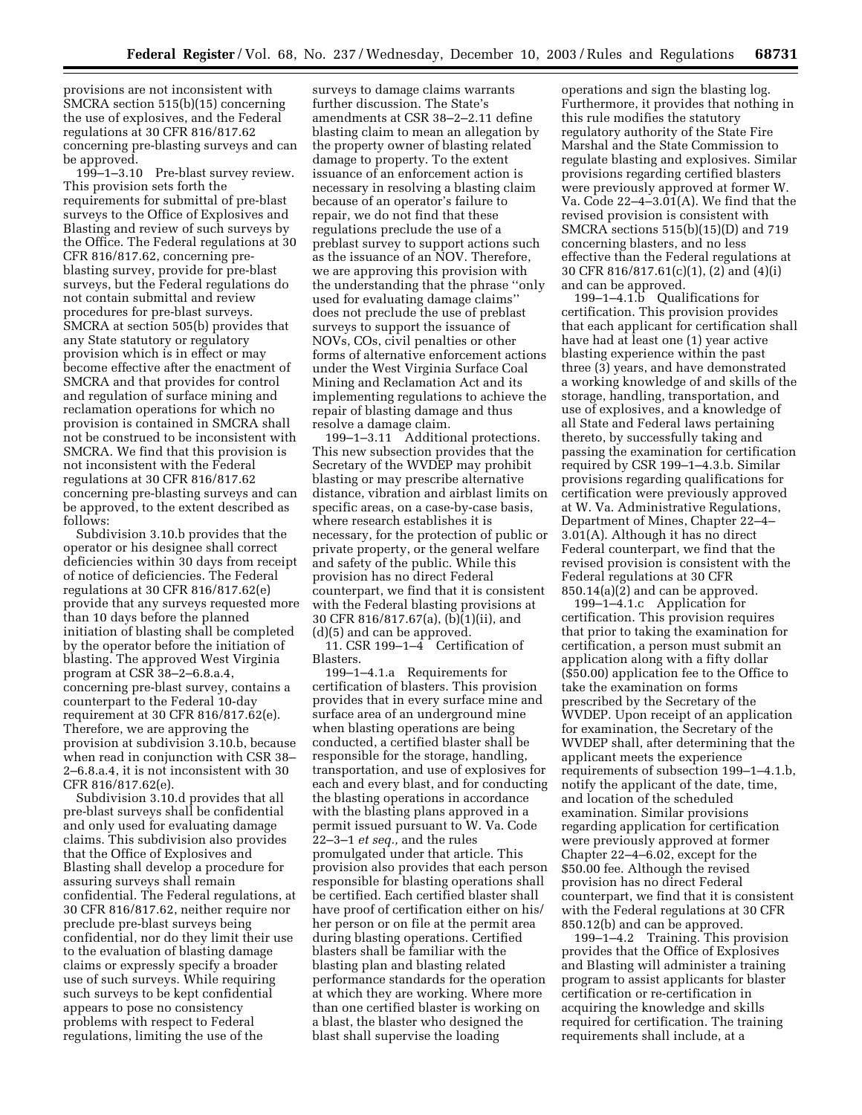provisions are not inconsistent with SMCRA section 515(b)(15) concerning the use of explosives, and the Federal regulations at 30 CFR 816/817.62 concerning pre-blasting surveys and can be approved.

199–1–3.10 Pre-blast survey review. This provision sets forth the requirements for submittal of pre-blast surveys to the Office of Explosives and Blasting and review of such surveys by the Office. The Federal regulations at 30 CFR 816/817.62, concerning preblasting survey, provide for pre-blast surveys, but the Federal regulations do not contain submittal and review procedures for pre-blast surveys. SMCRA at section 505(b) provides that any State statutory or regulatory provision which is in effect or may become effective after the enactment of SMCRA and that provides for control and regulation of surface mining and reclamation operations for which no provision is contained in SMCRA shall not be construed to be inconsistent with SMCRA. We find that this provision is not inconsistent with the Federal regulations at 30 CFR 816/817.62 concerning pre-blasting surveys and can be approved, to the extent described as follows:

Subdivision 3.10.b provides that the operator or his designee shall correct deficiencies within 30 days from receipt of notice of deficiencies. The Federal regulations at 30 CFR 816/817.62(e) provide that any surveys requested more than 10 days before the planned initiation of blasting shall be completed by the operator before the initiation of blasting. The approved West Virginia program at CSR 38–2–6.8.a.4, concerning pre-blast survey, contains a counterpart to the Federal 10-day requirement at 30 CFR 816/817.62(e). Therefore, we are approving the provision at subdivision 3.10.b, because when read in conjunction with CSR 38– 2–6.8.a.4, it is not inconsistent with 30 CFR 816/817.62(e).

Subdivision 3.10.d provides that all pre-blast surveys shall be confidential and only used for evaluating damage claims. This subdivision also provides that the Office of Explosives and Blasting shall develop a procedure for assuring surveys shall remain confidential. The Federal regulations, at 30 CFR 816/817.62, neither require nor preclude pre-blast surveys being confidential, nor do they limit their use to the evaluation of blasting damage claims or expressly specify a broader use of such surveys. While requiring such surveys to be kept confidential appears to pose no consistency problems with respect to Federal regulations, limiting the use of the

surveys to damage claims warrants further discussion. The State's amendments at CSR 38–2–2.11 define blasting claim to mean an allegation by the property owner of blasting related damage to property. To the extent issuance of an enforcement action is necessary in resolving a blasting claim because of an operator's failure to repair, we do not find that these regulations preclude the use of a preblast survey to support actions such as the issuance of an NOV. Therefore, we are approving this provision with the understanding that the phrase ''only used for evaluating damage claims'' does not preclude the use of preblast surveys to support the issuance of NOVs, COs, civil penalties or other forms of alternative enforcement actions under the West Virginia Surface Coal Mining and Reclamation Act and its implementing regulations to achieve the repair of blasting damage and thus resolve a damage claim.

199–1–3.11 Additional protections. This new subsection provides that the Secretary of the WVDEP may prohibit blasting or may prescribe alternative distance, vibration and airblast limits on specific areas, on a case-by-case basis, where research establishes it is necessary, for the protection of public or private property, or the general welfare and safety of the public. While this provision has no direct Federal counterpart, we find that it is consistent with the Federal blasting provisions at 30 CFR 816/817.67(a), (b)(1)(ii), and (d)(5) and can be approved.

11. CSR 199–1–4 Certification of Blasters.

199–1–4.1.a Requirements for certification of blasters. This provision provides that in every surface mine and surface area of an underground mine when blasting operations are being conducted, a certified blaster shall be responsible for the storage, handling, transportation, and use of explosives for each and every blast, and for conducting the blasting operations in accordance with the blasting plans approved in a permit issued pursuant to W. Va. Code 22–3–1 *et seq.,* and the rules promulgated under that article. This provision also provides that each person responsible for blasting operations shall be certified. Each certified blaster shall have proof of certification either on his/ her person or on file at the permit area during blasting operations. Certified blasters shall be familiar with the blasting plan and blasting related performance standards for the operation at which they are working. Where more than one certified blaster is working on a blast, the blaster who designed the blast shall supervise the loading

operations and sign the blasting log. Furthermore, it provides that nothing in this rule modifies the statutory regulatory authority of the State Fire Marshal and the State Commission to regulate blasting and explosives. Similar provisions regarding certified blasters were previously approved at former W. Va. Code 22–4–3.01(A). We find that the revised provision is consistent with SMCRA sections 515(b)(15)(D) and 719 concerning blasters, and no less effective than the Federal regulations at 30 CFR 816/817.61(c)(1), (2) and (4)(i) and can be approved.

199–1–4.1.b Qualifications for certification. This provision provides that each applicant for certification shall have had at least one (1) year active blasting experience within the past three (3) years, and have demonstrated a working knowledge of and skills of the storage, handling, transportation, and use of explosives, and a knowledge of all State and Federal laws pertaining thereto, by successfully taking and passing the examination for certification required by CSR 199–1–4.3.b. Similar provisions regarding qualifications for certification were previously approved at W. Va. Administrative Regulations, Department of Mines, Chapter 22–4– 3.01(A). Although it has no direct Federal counterpart, we find that the revised provision is consistent with the Federal regulations at 30 CFR 850.14(a)(2) and can be approved.

199–1–4.1.c Application for certification. This provision requires that prior to taking the examination for certification, a person must submit an application along with a fifty dollar (\$50.00) application fee to the Office to take the examination on forms prescribed by the Secretary of the WVDEP. Upon receipt of an application for examination, the Secretary of the WVDEP shall, after determining that the applicant meets the experience requirements of subsection 199–1–4.1.b, notify the applicant of the date, time, and location of the scheduled examination. Similar provisions regarding application for certification were previously approved at former Chapter 22–4–6.02, except for the \$50.00 fee. Although the revised provision has no direct Federal counterpart, we find that it is consistent with the Federal regulations at 30 CFR 850.12(b) and can be approved.

199–1–4.2 Training. This provision provides that the Office of Explosives and Blasting will administer a training program to assist applicants for blaster certification or re-certification in acquiring the knowledge and skills required for certification. The training requirements shall include, at a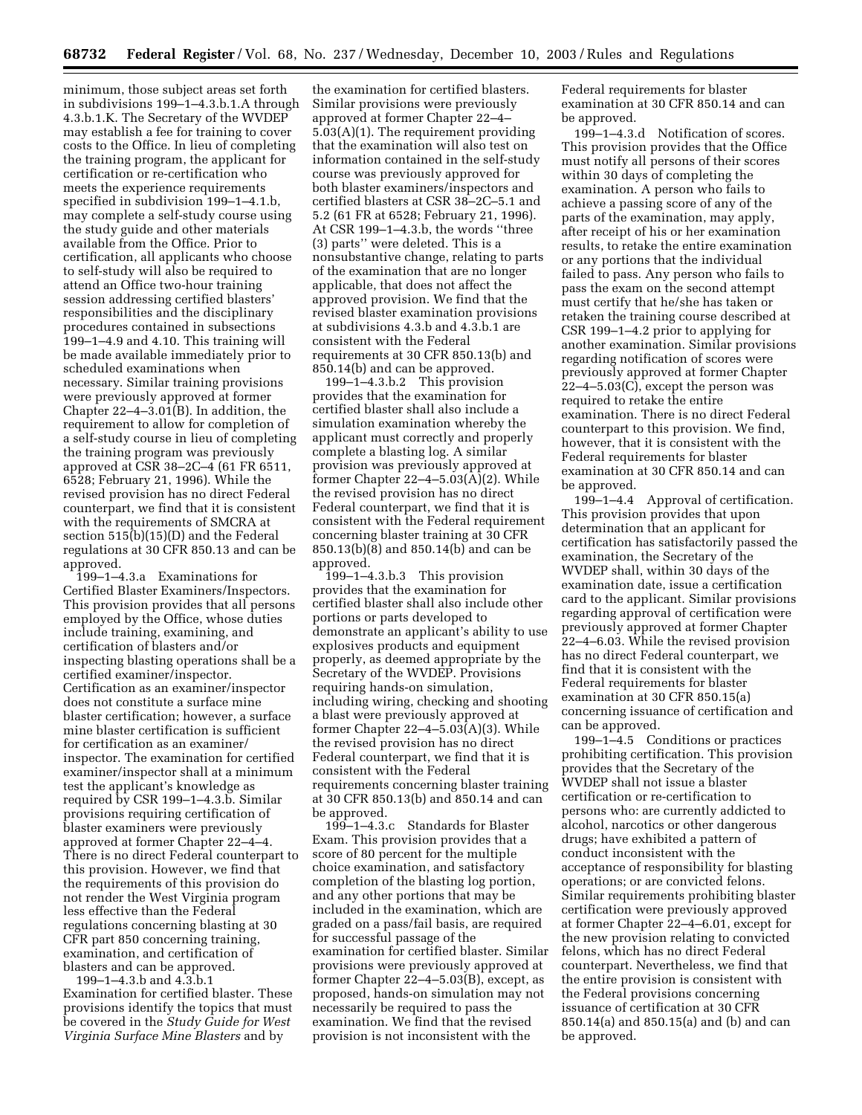minimum, those subject areas set forth in subdivisions 199–1–4.3.b.1.A through 4.3.b.1.K. The Secretary of the WVDEP may establish a fee for training to cover costs to the Office. In lieu of completing the training program, the applicant for certification or re-certification who meets the experience requirements specified in subdivision 199–1–4.1.b, may complete a self-study course using the study guide and other materials available from the Office. Prior to certification, all applicants who choose to self-study will also be required to attend an Office two-hour training session addressing certified blasters' responsibilities and the disciplinary procedures contained in subsections 199–1–4.9 and 4.10. This training will be made available immediately prior to scheduled examinations when necessary. Similar training provisions were previously approved at former Chapter 22–4–3.01(B). In addition, the requirement to allow for completion of a self-study course in lieu of completing the training program was previously approved at CSR 38–2C–4 (61 FR 6511, 6528; February 21, 1996). While the revised provision has no direct Federal counterpart, we find that it is consistent with the requirements of SMCRA at section 515(b)(15)(D) and the Federal regulations at 30 CFR 850.13 and can be approved.

199–1–4.3.a Examinations for Certified Blaster Examiners/Inspectors. This provision provides that all persons employed by the Office, whose duties include training, examining, and certification of blasters and/or inspecting blasting operations shall be a certified examiner/inspector. Certification as an examiner/inspector does not constitute a surface mine blaster certification; however, a surface mine blaster certification is sufficient for certification as an examiner/ inspector. The examination for certified examiner/inspector shall at a minimum test the applicant's knowledge as required by CSR 199–1–4.3.b. Similar provisions requiring certification of blaster examiners were previously approved at former Chapter 22–4–4. There is no direct Federal counterpart to this provision. However, we find that the requirements of this provision do not render the West Virginia program less effective than the Federal regulations concerning blasting at 30 CFR part 850 concerning training, examination, and certification of blasters and can be approved.

199–1–4.3.b and 4.3.b.1 Examination for certified blaster. These provisions identify the topics that must be covered in the *Study Guide for West Virginia Surface Mine Blasters* and by

the examination for certified blasters. Similar provisions were previously approved at former Chapter 22–4– 5.03(A)(1). The requirement providing that the examination will also test on information contained in the self-study course was previously approved for both blaster examiners/inspectors and certified blasters at CSR 38–2C–5.1 and 5.2 (61 FR at 6528; February 21, 1996). At CSR 199–1–4.3.b, the words ''three (3) parts'' were deleted. This is a nonsubstantive change, relating to parts of the examination that are no longer applicable, that does not affect the approved provision. We find that the revised blaster examination provisions at subdivisions 4.3.b and 4.3.b.1 are consistent with the Federal requirements at 30 CFR 850.13(b) and 850.14(b) and can be approved.

199–1–4.3.b.2 This provision provides that the examination for certified blaster shall also include a simulation examination whereby the applicant must correctly and properly complete a blasting log. A similar provision was previously approved at former Chapter  $22-4-5.03(\text{\AA})(2)$ . While the revised provision has no direct Federal counterpart, we find that it is consistent with the Federal requirement concerning blaster training at 30 CFR 850.13(b)(8) and 850.14(b) and can be approved.

199–1–4.3.b.3 This provision provides that the examination for certified blaster shall also include other portions or parts developed to demonstrate an applicant's ability to use explosives products and equipment properly, as deemed appropriate by the Secretary of the WVDEP. Provisions requiring hands-on simulation, including wiring, checking and shooting a blast were previously approved at former Chapter 22–4–5.03(A)(3). While the revised provision has no direct Federal counterpart, we find that it is consistent with the Federal requirements concerning blaster training at 30 CFR 850.13(b) and 850.14 and can be approved.

199–1–4.3.c Standards for Blaster Exam. This provision provides that a score of 80 percent for the multiple choice examination, and satisfactory completion of the blasting log portion, and any other portions that may be included in the examination, which are graded on a pass/fail basis, are required for successful passage of the examination for certified blaster. Similar provisions were previously approved at former Chapter 22–4–5.03(B), except, as proposed, hands-on simulation may not necessarily be required to pass the examination. We find that the revised provision is not inconsistent with the

Federal requirements for blaster examination at 30 CFR 850.14 and can be approved.

199–1–4.3.d Notification of scores. This provision provides that the Office must notify all persons of their scores within 30 days of completing the examination. A person who fails to achieve a passing score of any of the parts of the examination, may apply, after receipt of his or her examination results, to retake the entire examination or any portions that the individual failed to pass. Any person who fails to pass the exam on the second attempt must certify that he/she has taken or retaken the training course described at CSR 199–1–4.2 prior to applying for another examination. Similar provisions regarding notification of scores were previously approved at former Chapter 22–4–5.03(C), except the person was required to retake the entire examination. There is no direct Federal counterpart to this provision. We find, however, that it is consistent with the Federal requirements for blaster examination at 30 CFR 850.14 and can be approved.

199–1–4.4 Approval of certification. This provision provides that upon determination that an applicant for certification has satisfactorily passed the examination, the Secretary of the WVDEP shall, within 30 days of the examination date, issue a certification card to the applicant. Similar provisions regarding approval of certification were previously approved at former Chapter 22–4–6.03. While the revised provision has no direct Federal counterpart, we find that it is consistent with the Federal requirements for blaster examination at 30 CFR 850.15(a) concerning issuance of certification and can be approved.

199–1–4.5 Conditions or practices prohibiting certification. This provision provides that the Secretary of the WVDEP shall not issue a blaster certification or re-certification to persons who: are currently addicted to alcohol, narcotics or other dangerous drugs; have exhibited a pattern of conduct inconsistent with the acceptance of responsibility for blasting operations; or are convicted felons. Similar requirements prohibiting blaster certification were previously approved at former Chapter 22–4–6.01, except for the new provision relating to convicted felons, which has no direct Federal counterpart. Nevertheless, we find that the entire provision is consistent with the Federal provisions concerning issuance of certification at 30 CFR 850.14(a) and 850.15(a) and (b) and can be approved.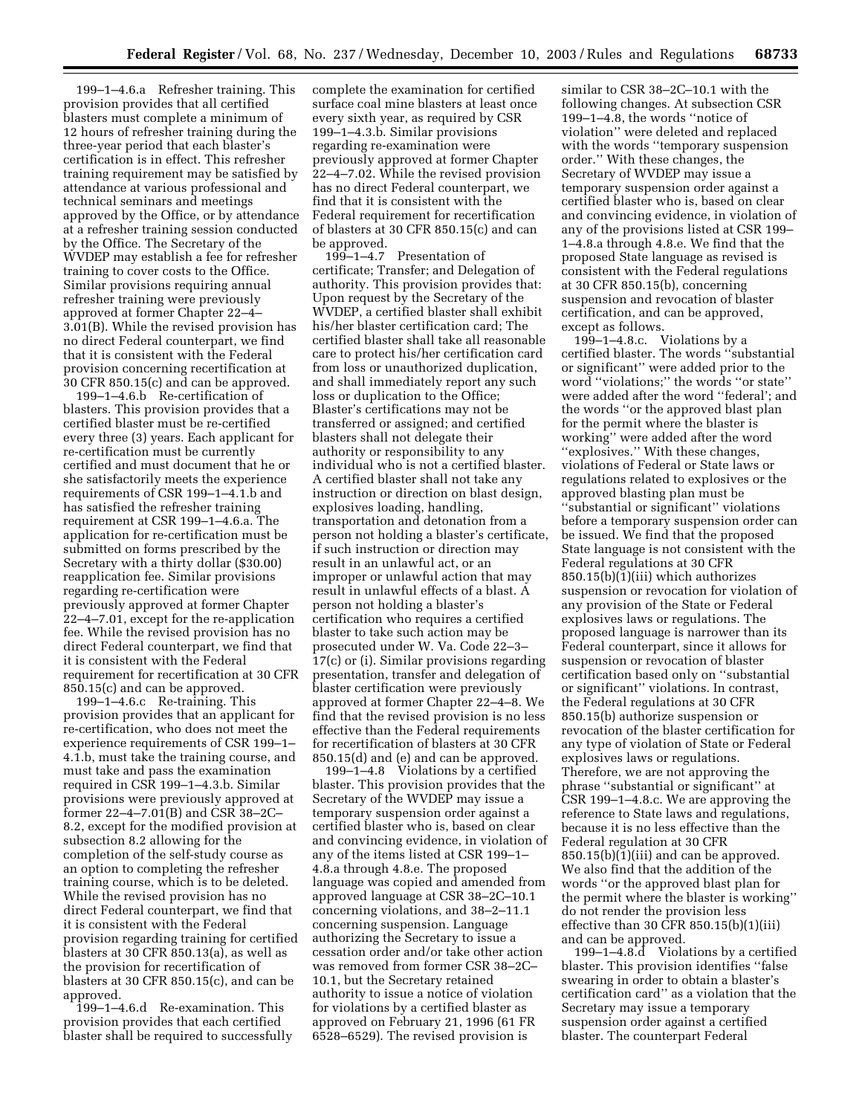199–1–4.6.a Refresher training. This provision provides that all certified blasters must complete a minimum of 12 hours of refresher training during the three-year period that each blaster's certification is in effect. This refresher training requirement may be satisfied by attendance at various professional and technical seminars and meetings approved by the Office, or by attendance at a refresher training session conducted by the Office. The Secretary of the WVDEP may establish a fee for refresher training to cover costs to the Office. Similar provisions requiring annual refresher training were previously approved at former Chapter 22–4– 3.01(B). While the revised provision has no direct Federal counterpart, we find that it is consistent with the Federal provision concerning recertification at 30 CFR 850.15(c) and can be approved.

199–1–4.6.b Re-certification of blasters. This provision provides that a certified blaster must be re-certified every three (3) years. Each applicant for re-certification must be currently certified and must document that he or she satisfactorily meets the experience requirements of CSR 199–1–4.1.b and has satisfied the refresher training requirement at CSR 199–1–4.6.a. The application for re-certification must be submitted on forms prescribed by the Secretary with a thirty dollar (\$30.00) reapplication fee. Similar provisions regarding re-certification were previously approved at former Chapter 22–4–7.01, except for the re-application fee. While the revised provision has no direct Federal counterpart, we find that it is consistent with the Federal requirement for recertification at 30 CFR 850.15(c) and can be approved.

199–1–4.6.c Re-training. This provision provides that an applicant for re-certification, who does not meet the experience requirements of CSR 199–1– 4.1.b, must take the training course, and must take and pass the examination required in CSR 199–1–4.3.b. Similar provisions were previously approved at former 22–4–7.01(B) and CSR 38–2C– 8.2, except for the modified provision at subsection 8.2 allowing for the completion of the self-study course as an option to completing the refresher training course, which is to be deleted. While the revised provision has no direct Federal counterpart, we find that it is consistent with the Federal provision regarding training for certified blasters at 30 CFR 850.13(a), as well as the provision for recertification of blasters at 30 CFR 850.15(c), and can be approved.

199–1–4.6.d Re-examination. This provision provides that each certified blaster shall be required to successfully complete the examination for certified surface coal mine blasters at least once every sixth year, as required by CSR 199–1–4.3.b. Similar provisions regarding re-examination were previously approved at former Chapter 22–4–7.02. While the revised provision has no direct Federal counterpart, we find that it is consistent with the Federal requirement for recertification of blasters at 30 CFR 850.15(c) and can be approved.

199–1–4.7 Presentation of certificate; Transfer; and Delegation of authority. This provision provides that: Upon request by the Secretary of the WVDEP, a certified blaster shall exhibit his/her blaster certification card; The certified blaster shall take all reasonable care to protect his/her certification card from loss or unauthorized duplication, and shall immediately report any such loss or duplication to the Office; Blaster's certifications may not be transferred or assigned; and certified blasters shall not delegate their authority or responsibility to any individual who is not a certified blaster. A certified blaster shall not take any instruction or direction on blast design, explosives loading, handling, transportation and detonation from a person not holding a blaster's certificate, if such instruction or direction may result in an unlawful act, or an improper or unlawful action that may result in unlawful effects of a blast. A person not holding a blaster's certification who requires a certified blaster to take such action may be prosecuted under W. Va. Code 22–3– 17(c) or (i). Similar provisions regarding presentation, transfer and delegation of blaster certification were previously approved at former Chapter 22–4–8. We find that the revised provision is no less effective than the Federal requirements for recertification of blasters at 30 CFR 850.15(d) and (e) and can be approved.

199–1–4.8 Violations by a certified blaster. This provision provides that the Secretary of the WVDEP may issue a temporary suspension order against a certified blaster who is, based on clear and convincing evidence, in violation of any of the items listed at CSR 199–1– 4.8.a through 4.8.e. The proposed language was copied and amended from approved language at CSR 38–2C–10.1 concerning violations, and 38–2–11.1 concerning suspension. Language authorizing the Secretary to issue a cessation order and/or take other action was removed from former CSR 38–2C– 10.1, but the Secretary retained authority to issue a notice of violation for violations by a certified blaster as approved on February 21, 1996 (61 FR 6528–6529). The revised provision is

similar to CSR 38–2C–10.1 with the following changes. At subsection CSR 199–1–4.8, the words ''notice of violation'' were deleted and replaced with the words ''temporary suspension order.'' With these changes, the Secretary of WVDEP may issue a temporary suspension order against a certified blaster who is, based on clear and convincing evidence, in violation of any of the provisions listed at CSR 199– 1–4.8.a through 4.8.e. We find that the proposed State language as revised is consistent with the Federal regulations at 30 CFR 850.15(b), concerning suspension and revocation of blaster certification, and can be approved, except as follows.

 $199-1-4.8.c.$  Violations by a certified blaster. The words ''substantial or significant'' were added prior to the word ''violations;'' the words ''or state'' were added after the word ''federal'; and the words ''or the approved blast plan for the permit where the blaster is working'' were added after the word "explosives." With these changes, violations of Federal or State laws or regulations related to explosives or the approved blasting plan must be ''substantial or significant'' violations before a temporary suspension order can be issued. We find that the proposed State language is not consistent with the Federal regulations at 30 CFR 850.15(b)(1)(iii) which authorizes suspension or revocation for violation of any provision of the State or Federal explosives laws or regulations. The proposed language is narrower than its Federal counterpart, since it allows for suspension or revocation of blaster certification based only on ''substantial or significant'' violations. In contrast, the Federal regulations at 30 CFR 850.15(b) authorize suspension or revocation of the blaster certification for any type of violation of State or Federal explosives laws or regulations. Therefore, we are not approving the phrase ''substantial or significant'' at CSR 199–1–4.8.c. We are approving the reference to State laws and regulations, because it is no less effective than the Federal regulation at 30 CFR 850.15(b)(1)(iii) and can be approved. We also find that the addition of the words ''or the approved blast plan for the permit where the blaster is working'' do not render the provision less effective than 30 CFR 850.15(b)(1)(iii) and can be approved.

199–1–4.8.d Violations by a certified blaster. This provision identifies ''false swearing in order to obtain a blaster's certification card'' as a violation that the Secretary may issue a temporary suspension order against a certified blaster. The counterpart Federal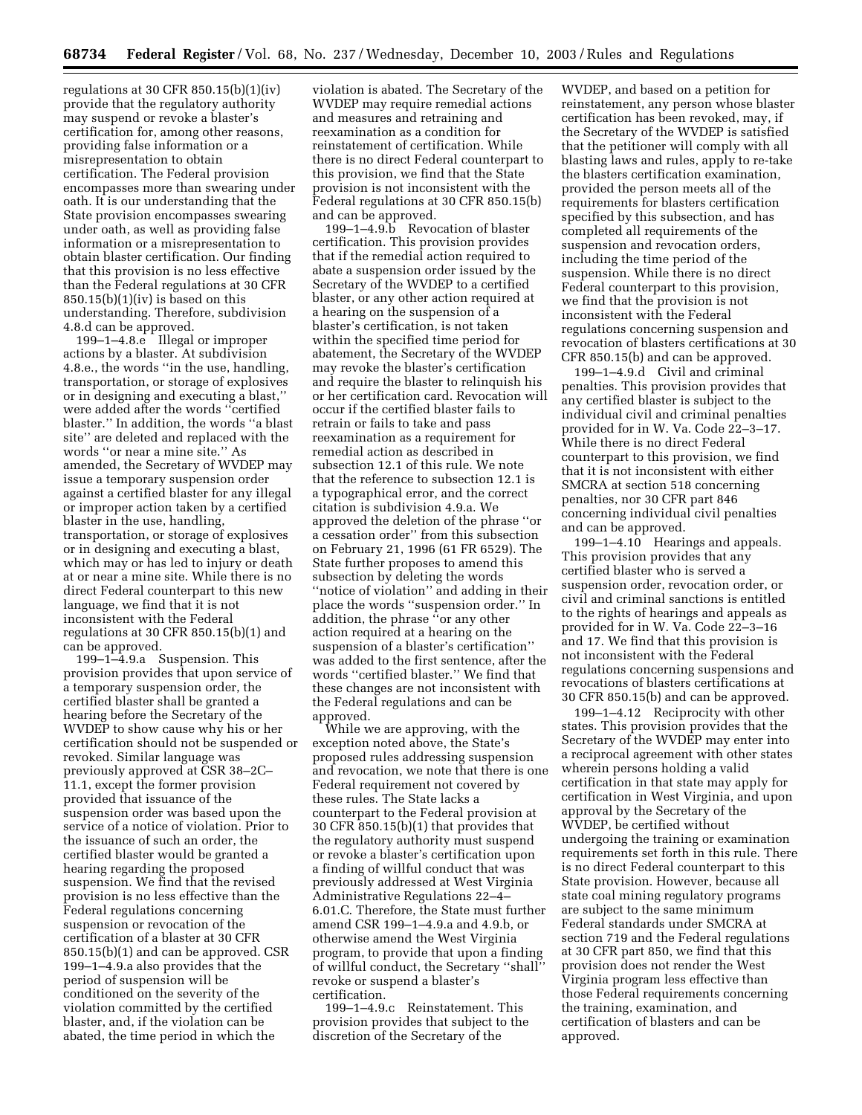regulations at 30 CFR  $850.15(b)(1)(iv)$ provide that the regulatory authority may suspend or revoke a blaster's certification for, among other reasons, providing false information or a misrepresentation to obtain certification. The Federal provision encompasses more than swearing under oath. It is our understanding that the State provision encompasses swearing under oath, as well as providing false information or a misrepresentation to obtain blaster certification. Our finding that this provision is no less effective than the Federal regulations at 30 CFR  $850.15(b)(1)(iv)$  is based on this understanding. Therefore, subdivision 4.8.d can be approved.

199–1–4.8.e Illegal or improper actions by a blaster. At subdivision 4.8.e., the words ''in the use, handling, transportation, or storage of explosives or in designing and executing a blast,'' were added after the words ''certified blaster.'' In addition, the words ''a blast site'' are deleted and replaced with the words ''or near a mine site.'' As amended, the Secretary of WVDEP may issue a temporary suspension order against a certified blaster for any illegal or improper action taken by a certified blaster in the use, handling, transportation, or storage of explosives or in designing and executing a blast, which may or has led to injury or death at or near a mine site. While there is no direct Federal counterpart to this new language, we find that it is not inconsistent with the Federal regulations at 30 CFR 850.15(b)(1) and can be approved.

199–1–4.9.a Suspension. This provision provides that upon service of a temporary suspension order, the certified blaster shall be granted a hearing before the Secretary of the WVDEP to show cause why his or her certification should not be suspended or revoked. Similar language was previously approved at CSR 38–2C– 11.1, except the former provision provided that issuance of the suspension order was based upon the service of a notice of violation. Prior to the issuance of such an order, the certified blaster would be granted a hearing regarding the proposed suspension. We find that the revised provision is no less effective than the Federal regulations concerning suspension or revocation of the certification of a blaster at 30 CFR 850.15(b)(1) and can be approved. CSR 199–1–4.9.a also provides that the period of suspension will be conditioned on the severity of the violation committed by the certified blaster, and, if the violation can be abated, the time period in which the

violation is abated. The Secretary of the WVDEP may require remedial actions and measures and retraining and reexamination as a condition for reinstatement of certification. While there is no direct Federal counterpart to this provision, we find that the State provision is not inconsistent with the Federal regulations at 30 CFR 850.15(b) and can be approved.

199–1–4.9.b Revocation of blaster certification. This provision provides that if the remedial action required to abate a suspension order issued by the Secretary of the WVDEP to a certified blaster, or any other action required at a hearing on the suspension of a blaster's certification, is not taken within the specified time period for abatement, the Secretary of the WVDEP may revoke the blaster's certification and require the blaster to relinquish his or her certification card. Revocation will occur if the certified blaster fails to retrain or fails to take and pass reexamination as a requirement for remedial action as described in subsection 12.1 of this rule. We note that the reference to subsection 12.1 is a typographical error, and the correct citation is subdivision 4.9.a. We approved the deletion of the phrase ''or a cessation order'' from this subsection on February 21, 1996 (61 FR 6529). The State further proposes to amend this subsection by deleting the words "notice of violation" and adding in their place the words ''suspension order.'' In addition, the phrase ''or any other action required at a hearing on the suspension of a blaster's certification'' was added to the first sentence, after the words ''certified blaster.'' We find that these changes are not inconsistent with the Federal regulations and can be approved.

While we are approving, with the exception noted above, the State's proposed rules addressing suspension and revocation, we note that there is one Federal requirement not covered by these rules. The State lacks a counterpart to the Federal provision at 30 CFR 850.15(b)(1) that provides that the regulatory authority must suspend or revoke a blaster's certification upon a finding of willful conduct that was previously addressed at West Virginia Administrative Regulations 22–4– 6.01.C. Therefore, the State must further amend CSR 199–1–4.9.a and 4.9.b, or otherwise amend the West Virginia program, to provide that upon a finding of willful conduct, the Secretary ''shall'' revoke or suspend a blaster's certification.

199–1–4.9.c Reinstatement. This provision provides that subject to the discretion of the Secretary of the

WVDEP, and based on a petition for reinstatement, any person whose blaster certification has been revoked, may, if the Secretary of the WVDEP is satisfied that the petitioner will comply with all blasting laws and rules, apply to re-take the blasters certification examination, provided the person meets all of the requirements for blasters certification specified by this subsection, and has completed all requirements of the suspension and revocation orders, including the time period of the suspension. While there is no direct Federal counterpart to this provision, we find that the provision is not inconsistent with the Federal regulations concerning suspension and revocation of blasters certifications at 30 CFR 850.15(b) and can be approved.

199–1–4.9.d Civil and criminal penalties. This provision provides that any certified blaster is subject to the individual civil and criminal penalties provided for in W. Va. Code 22–3–17. While there is no direct Federal counterpart to this provision, we find that it is not inconsistent with either SMCRA at section 518 concerning penalties, nor 30 CFR part 846 concerning individual civil penalties and can be approved.

199–1–4.10 Hearings and appeals. This provision provides that any certified blaster who is served a suspension order, revocation order, or civil and criminal sanctions is entitled to the rights of hearings and appeals as provided for in W. Va. Code 22–3–16 and 17. We find that this provision is not inconsistent with the Federal regulations concerning suspensions and revocations of blasters certifications at 30 CFR 850.15(b) and can be approved.

199–1–4.12 Reciprocity with other states. This provision provides that the Secretary of the WVDEP may enter into a reciprocal agreement with other states wherein persons holding a valid certification in that state may apply for certification in West Virginia, and upon approval by the Secretary of the WVDEP, be certified without undergoing the training or examination requirements set forth in this rule. There is no direct Federal counterpart to this State provision. However, because all state coal mining regulatory programs are subject to the same minimum Federal standards under SMCRA at section 719 and the Federal regulations at 30 CFR part 850, we find that this provision does not render the West Virginia program less effective than those Federal requirements concerning the training, examination, and certification of blasters and can be approved.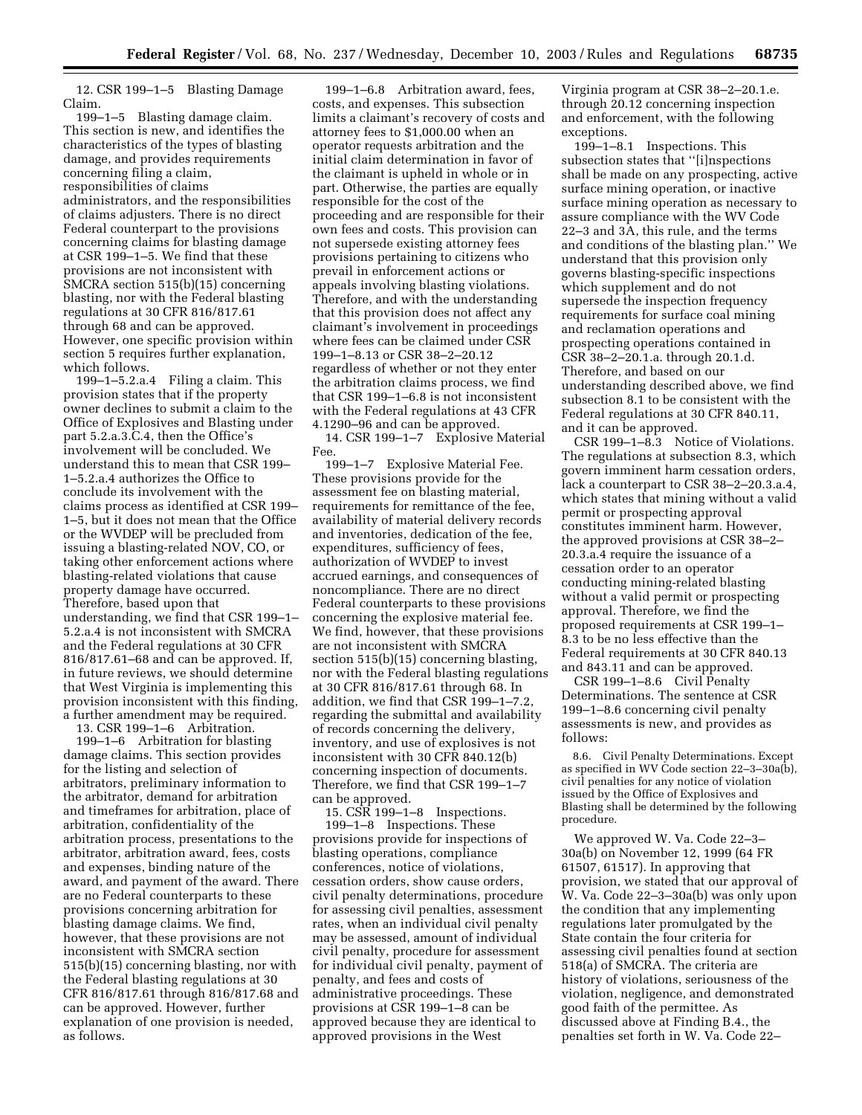12. CSR 199–1–5 Blasting Damage Claim.

199–1–5 Blasting damage claim. This section is new, and identifies the characteristics of the types of blasting damage, and provides requirements concerning filing a claim, responsibilities of claims administrators, and the responsibilities of claims adjusters. There is no direct Federal counterpart to the provisions concerning claims for blasting damage at CSR 199–1–5. We find that these provisions are not inconsistent with SMCRA section 515(b)(15) concerning blasting, nor with the Federal blasting regulations at 30 CFR 816/817.61 through 68 and can be approved. However, one specific provision within section 5 requires further explanation, which follows.

199–1–5.2.a.4 Filing a claim. This provision states that if the property owner declines to submit a claim to the Office of Explosives and Blasting under part 5.2.a.3.C.4, then the Office's involvement will be concluded. We understand this to mean that CSR 199– 1–5.2.a.4 authorizes the Office to conclude its involvement with the claims process as identified at CSR 199– 1–5, but it does not mean that the Office or the WVDEP will be precluded from issuing a blasting-related NOV, CO, or taking other enforcement actions where blasting-related violations that cause property damage have occurred. Therefore, based upon that understanding, we find that CSR 199–1– 5.2.a.4 is not inconsistent with SMCRA and the Federal regulations at 30 CFR 816/817.61–68 and can be approved. If, in future reviews, we should determine that West Virginia is implementing this provision inconsistent with this finding, a further amendment may be required.

13. CSR 199–1–6 Arbitration.

199–1–6 Arbitration for blasting damage claims. This section provides for the listing and selection of arbitrators, preliminary information to the arbitrator, demand for arbitration and timeframes for arbitration, place of arbitration, confidentiality of the arbitration process, presentations to the arbitrator, arbitration award, fees, costs and expenses, binding nature of the award, and payment of the award. There are no Federal counterparts to these provisions concerning arbitration for blasting damage claims. We find, however, that these provisions are not inconsistent with SMCRA section 515(b)(15) concerning blasting, nor with the Federal blasting regulations at 30 CFR 816/817.61 through 816/817.68 and can be approved. However, further explanation of one provision is needed, as follows.

199–1–6.8 Arbitration award, fees, costs, and expenses. This subsection limits a claimant's recovery of costs and attorney fees to \$1,000.00 when an operator requests arbitration and the initial claim determination in favor of the claimant is upheld in whole or in part. Otherwise, the parties are equally responsible for the cost of the proceeding and are responsible for their own fees and costs. This provision can not supersede existing attorney fees provisions pertaining to citizens who prevail in enforcement actions or appeals involving blasting violations. Therefore, and with the understanding that this provision does not affect any claimant's involvement in proceedings where fees can be claimed under CSR 199–1–8.13 or CSR 38–2–20.12 regardless of whether or not they enter the arbitration claims process, we find that CSR 199–1–6.8 is not inconsistent with the Federal regulations at 43 CFR 4.1290–96 and can be approved.

14. CSR 199–1–7 Explosive Material Fee.

199–1–7 Explosive Material Fee. These provisions provide for the assessment fee on blasting material, requirements for remittance of the fee, availability of material delivery records and inventories, dedication of the fee, expenditures, sufficiency of fees, authorization of WVDEP to invest accrued earnings, and consequences of noncompliance. There are no direct Federal counterparts to these provisions concerning the explosive material fee. We find, however, that these provisions are not inconsistent with SMCRA section 515(b)(15) concerning blasting, nor with the Federal blasting regulations at 30 CFR 816/817.61 through 68. In addition, we find that CSR 199–1–7.2, regarding the submittal and availability of records concerning the delivery, inventory, and use of explosives is not inconsistent with 30 CFR 840.12(b) concerning inspection of documents. Therefore, we find that CSR 199–1–7 can be approved.

15. CSR 199–1–8 Inspections. 199–1–8 Inspections. These provisions provide for inspections of blasting operations, compliance conferences, notice of violations, cessation orders, show cause orders, civil penalty determinations, procedure for assessing civil penalties, assessment rates, when an individual civil penalty may be assessed, amount of individual civil penalty, procedure for assessment for individual civil penalty, payment of penalty, and fees and costs of administrative proceedings. These provisions at CSR 199–1–8 can be approved because they are identical to approved provisions in the West

Virginia program at CSR 38–2–20.1.e. through 20.12 concerning inspection and enforcement, with the following exceptions.

199–1–8.1 Inspections. This subsection states that "[i]nspections shall be made on any prospecting, active surface mining operation, or inactive surface mining operation as necessary to assure compliance with the WV Code 22–3 and 3A, this rule, and the terms and conditions of the blasting plan.'' We understand that this provision only governs blasting-specific inspections which supplement and do not supersede the inspection frequency requirements for surface coal mining and reclamation operations and prospecting operations contained in CSR 38–2–20.1.a. through 20.1.d. Therefore, and based on our understanding described above, we find subsection 8.1 to be consistent with the Federal regulations at 30 CFR 840.11, and it can be approved.

CSR 199–1–8.3 Notice of Violations. The regulations at subsection 8.3, which govern imminent harm cessation orders, lack a counterpart to CSR 38–2–20.3.a.4, which states that mining without a valid permit or prospecting approval constitutes imminent harm. However, the approved provisions at CSR 38–2– 20.3.a.4 require the issuance of a cessation order to an operator conducting mining-related blasting without a valid permit or prospecting approval. Therefore, we find the proposed requirements at CSR 199–1– 8.3 to be no less effective than the Federal requirements at 30 CFR 840.13 and 843.11 and can be approved.

CSR 199–1–8.6 Civil Penalty Determinations. The sentence at CSR 199–1–8.6 concerning civil penalty assessments is new, and provides as follows:

8.6. Civil Penalty Determinations. Except as specified in WV Code section 22–3–30a(b), civil penalties for any notice of violation issued by the Office of Explosives and Blasting shall be determined by the following procedure.

We approved W. Va. Code 22–3– 30a(b) on November 12, 1999 (64 FR 61507, 61517). In approving that provision, we stated that our approval of W. Va. Code 22–3–30a(b) was only upon the condition that any implementing regulations later promulgated by the State contain the four criteria for assessing civil penalties found at section 518(a) of SMCRA. The criteria are history of violations, seriousness of the violation, negligence, and demonstrated good faith of the permittee. As discussed above at Finding B.4., the penalties set forth in W. Va. Code 22–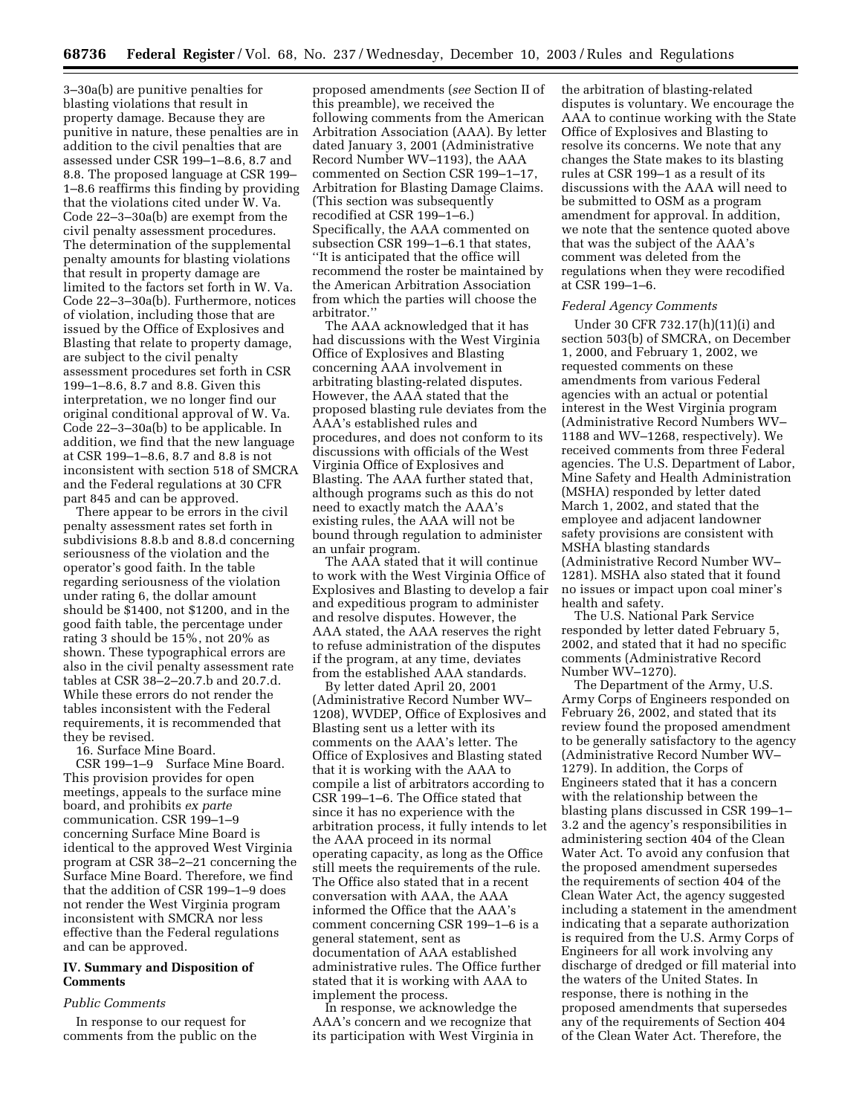3–30a(b) are punitive penalties for blasting violations that result in property damage. Because they are punitive in nature, these penalties are in addition to the civil penalties that are assessed under CSR 199–1–8.6, 8.7 and 8.8. The proposed language at CSR 199– 1–8.6 reaffirms this finding by providing that the violations cited under W. Va. Code 22–3–30a(b) are exempt from the civil penalty assessment procedures. The determination of the supplemental penalty amounts for blasting violations that result in property damage are limited to the factors set forth in W. Va. Code 22–3–30a(b). Furthermore, notices of violation, including those that are issued by the Office of Explosives and Blasting that relate to property damage, are subject to the civil penalty assessment procedures set forth in CSR 199–1–8.6, 8.7 and 8.8. Given this interpretation, we no longer find our original conditional approval of W. Va. Code 22–3–30a(b) to be applicable. In addition, we find that the new language at CSR 199–1–8.6, 8.7 and 8.8 is not inconsistent with section 518 of SMCRA and the Federal regulations at 30 CFR part 845 and can be approved.

There appear to be errors in the civil penalty assessment rates set forth in subdivisions 8.8.b and 8.8.d concerning seriousness of the violation and the operator's good faith. In the table regarding seriousness of the violation under rating 6, the dollar amount should be \$1400, not \$1200, and in the good faith table, the percentage under rating 3 should be 15%, not 20% as shown. These typographical errors are also in the civil penalty assessment rate tables at CSR 38–2–20.7.b and 20.7.d. While these errors do not render the tables inconsistent with the Federal requirements, it is recommended that they be revised.

16. Surface Mine Board.

CSR 199–1–9 Surface Mine Board. This provision provides for open meetings, appeals to the surface mine board, and prohibits *ex parte* communication. CSR 199–1–9 concerning Surface Mine Board is identical to the approved West Virginia program at CSR 38–2–21 concerning the Surface Mine Board. Therefore, we find that the addition of CSR 199–1–9 does not render the West Virginia program inconsistent with SMCRA nor less effective than the Federal regulations and can be approved.

# **IV. Summary and Disposition of Comments**

### *Public Comments*

In response to our request for comments from the public on the proposed amendments (*see* Section II of this preamble), we received the following comments from the American Arbitration Association (AAA). By letter dated January 3, 2001 (Administrative Record Number WV–1193), the AAA commented on Section CSR 199–1–17, Arbitration for Blasting Damage Claims. (This section was subsequently recodified at CSR 199–1–6.) Specifically, the AAA commented on subsection CSR 199–1–6.1 that states, ''It is anticipated that the office will recommend the roster be maintained by the American Arbitration Association from which the parties will choose the arbitrator.''

The AAA acknowledged that it has had discussions with the West Virginia Office of Explosives and Blasting concerning AAA involvement in arbitrating blasting-related disputes. However, the AAA stated that the proposed blasting rule deviates from the AAA's established rules and procedures, and does not conform to its discussions with officials of the West Virginia Office of Explosives and Blasting. The AAA further stated that, although programs such as this do not need to exactly match the AAA's existing rules, the AAA will not be bound through regulation to administer an unfair program.

The AAA stated that it will continue to work with the West Virginia Office of Explosives and Blasting to develop a fair and expeditious program to administer and resolve disputes. However, the AAA stated, the AAA reserves the right to refuse administration of the disputes if the program, at any time, deviates from the established AAA standards.

By letter dated April 20, 2001 (Administrative Record Number WV– 1208), WVDEP, Office of Explosives and Blasting sent us a letter with its comments on the AAA's letter. The Office of Explosives and Blasting stated that it is working with the AAA to compile a list of arbitrators according to CSR 199–1–6. The Office stated that since it has no experience with the arbitration process, it fully intends to let the AAA proceed in its normal operating capacity, as long as the Office still meets the requirements of the rule. The Office also stated that in a recent conversation with AAA, the AAA informed the Office that the AAA's comment concerning CSR 199–1–6 is a general statement, sent as documentation of AAA established administrative rules. The Office further stated that it is working with AAA to implement the process.

In response, we acknowledge the AAA's concern and we recognize that its participation with West Virginia in the arbitration of blasting-related disputes is voluntary. We encourage the AAA to continue working with the State Office of Explosives and Blasting to resolve its concerns. We note that any changes the State makes to its blasting rules at CSR 199–1 as a result of its discussions with the AAA will need to be submitted to OSM as a program amendment for approval. In addition, we note that the sentence quoted above that was the subject of the AAA's comment was deleted from the regulations when they were recodified at CSR 199–1–6.

#### *Federal Agency Comments*

Under 30 CFR 732.17(h)(11)(i) and section 503(b) of SMCRA, on December 1, 2000, and February 1, 2002, we requested comments on these amendments from various Federal agencies with an actual or potential interest in the West Virginia program (Administrative Record Numbers WV– 1188 and WV–1268, respectively). We received comments from three Federal agencies. The U.S. Department of Labor, Mine Safety and Health Administration (MSHA) responded by letter dated March 1, 2002, and stated that the employee and adjacent landowner safety provisions are consistent with MSHA blasting standards (Administrative Record Number WV– 1281). MSHA also stated that it found no issues or impact upon coal miner's health and safety.

The U.S. National Park Service responded by letter dated February 5, 2002, and stated that it had no specific comments (Administrative Record Number WV–1270).

The Department of the Army, U.S. Army Corps of Engineers responded on February 26, 2002, and stated that its review found the proposed amendment to be generally satisfactory to the agency (Administrative Record Number WV– 1279). In addition, the Corps of Engineers stated that it has a concern with the relationship between the blasting plans discussed in CSR 199–1– 3.2 and the agency's responsibilities in administering section 404 of the Clean Water Act. To avoid any confusion that the proposed amendment supersedes the requirements of section 404 of the Clean Water Act, the agency suggested including a statement in the amendment indicating that a separate authorization is required from the U.S. Army Corps of Engineers for all work involving any discharge of dredged or fill material into the waters of the United States. In response, there is nothing in the proposed amendments that supersedes any of the requirements of Section 404 of the Clean Water Act. Therefore, the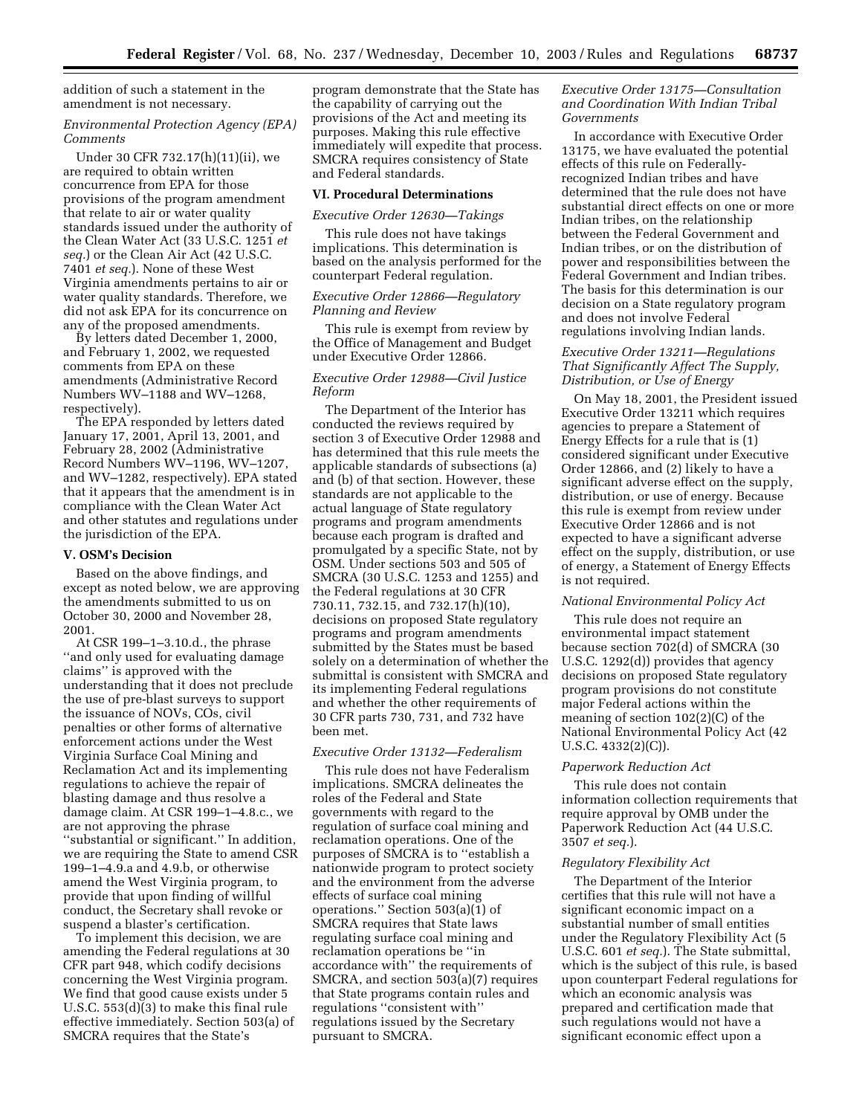addition of such a statement in the amendment is not necessary.

### *Environmental Protection Agency (EPA) Comments*

Under 30 CFR 732.17(h)(11)(ii), we are required to obtain written concurrence from EPA for those provisions of the program amendment that relate to air or water quality standards issued under the authority of the Clean Water Act (33 U.S.C. 1251 *et seq.*) or the Clean Air Act (42 U.S.C. 7401 *et seq.*). None of these West Virginia amendments pertains to air or water quality standards. Therefore, we did not ask EPA for its concurrence on any of the proposed amendments.

By letters dated December 1, 2000, and February 1, 2002, we requested comments from EPA on these amendments (Administrative Record Numbers WV–1188 and WV–1268, respectively).

The EPA responded by letters dated January 17, 2001, April 13, 2001, and February 28, 2002 (Administrative Record Numbers WV–1196, WV–1207, and WV–1282, respectively). EPA stated that it appears that the amendment is in compliance with the Clean Water Act and other statutes and regulations under the jurisdiction of the EPA.

# **V. OSM's Decision**

Based on the above findings, and except as noted below, we are approving the amendments submitted to us on October 30, 2000 and November 28, 2001.

At CSR 199–1–3.10.d., the phrase ''and only used for evaluating damage claims'' is approved with the understanding that it does not preclude the use of pre-blast surveys to support the issuance of NOVs, COs, civil penalties or other forms of alternative enforcement actions under the West Virginia Surface Coal Mining and Reclamation Act and its implementing regulations to achieve the repair of blasting damage and thus resolve a damage claim. At CSR 199–1–4.8.c., we are not approving the phrase ''substantial or significant.'' In addition, we are requiring the State to amend CSR 199–1–4.9.a and 4.9.b, or otherwise amend the West Virginia program, to provide that upon finding of willful conduct, the Secretary shall revoke or suspend a blaster's certification.

To implement this decision, we are amending the Federal regulations at 30 CFR part 948, which codify decisions concerning the West Virginia program. We find that good cause exists under 5 U.S.C. 553(d)(3) to make this final rule effective immediately. Section 503(a) of SMCRA requires that the State's

program demonstrate that the State has the capability of carrying out the provisions of the Act and meeting its purposes. Making this rule effective immediately will expedite that process. SMCRA requires consistency of State and Federal standards.

# **VI. Procedural Determinations**

# *Executive Order 12630—Takings*

This rule does not have takings implications. This determination is based on the analysis performed for the counterpart Federal regulation.

### *Executive Order 12866—Regulatory Planning and Review*

This rule is exempt from review by the Office of Management and Budget under Executive Order 12866.

### *Executive Order 12988—Civil Justice Reform*

The Department of the Interior has conducted the reviews required by section 3 of Executive Order 12988 and has determined that this rule meets the applicable standards of subsections (a) and (b) of that section. However, these standards are not applicable to the actual language of State regulatory programs and program amendments because each program is drafted and promulgated by a specific State, not by OSM. Under sections 503 and 505 of SMCRA (30 U.S.C. 1253 and 1255) and the Federal regulations at 30 CFR 730.11, 732.15, and 732.17(h)(10), decisions on proposed State regulatory programs and program amendments submitted by the States must be based solely on a determination of whether the submittal is consistent with SMCRA and its implementing Federal regulations and whether the other requirements of 30 CFR parts 730, 731, and 732 have been met.

# *Executive Order 13132—Federalism*

This rule does not have Federalism implications. SMCRA delineates the roles of the Federal and State governments with regard to the regulation of surface coal mining and reclamation operations. One of the purposes of SMCRA is to ''establish a nationwide program to protect society and the environment from the adverse effects of surface coal mining operations.'' Section 503(a)(1) of SMCRA requires that State laws regulating surface coal mining and reclamation operations be ''in accordance with'' the requirements of SMCRA, and section 503(a)(7) requires that State programs contain rules and regulations ''consistent with'' regulations issued by the Secretary pursuant to SMCRA.

### *Executive Order 13175—Consultation and Coordination With Indian Tribal Governments*

In accordance with Executive Order 13175, we have evaluated the potential effects of this rule on Federallyrecognized Indian tribes and have determined that the rule does not have substantial direct effects on one or more Indian tribes, on the relationship between the Federal Government and Indian tribes, or on the distribution of power and responsibilities between the Federal Government and Indian tribes. The basis for this determination is our decision on a State regulatory program and does not involve Federal regulations involving Indian lands.

### *Executive Order 13211—Regulations That Significantly Affect The Supply, Distribution, or Use of Energy*

On May 18, 2001, the President issued Executive Order 13211 which requires agencies to prepare a Statement of Energy Effects for a rule that is (1) considered significant under Executive Order 12866, and (2) likely to have a significant adverse effect on the supply, distribution, or use of energy. Because this rule is exempt from review under Executive Order 12866 and is not expected to have a significant adverse effect on the supply, distribution, or use of energy, a Statement of Energy Effects is not required.

### *National Environmental Policy Act*

This rule does not require an environmental impact statement because section 702(d) of SMCRA (30 U.S.C. 1292(d)) provides that agency decisions on proposed State regulatory program provisions do not constitute major Federal actions within the meaning of section 102(2)(C) of the National Environmental Policy Act (42 U.S.C. 4332(2)(C)).

### *Paperwork Reduction Act*

This rule does not contain information collection requirements that require approval by OMB under the Paperwork Reduction Act (44 U.S.C. 3507 *et seq.*).

### *Regulatory Flexibility Act*

The Department of the Interior certifies that this rule will not have a significant economic impact on a substantial number of small entities under the Regulatory Flexibility Act (5 U.S.C. 601 *et seq.*). The State submittal, which is the subject of this rule, is based upon counterpart Federal regulations for which an economic analysis was prepared and certification made that such regulations would not have a significant economic effect upon a